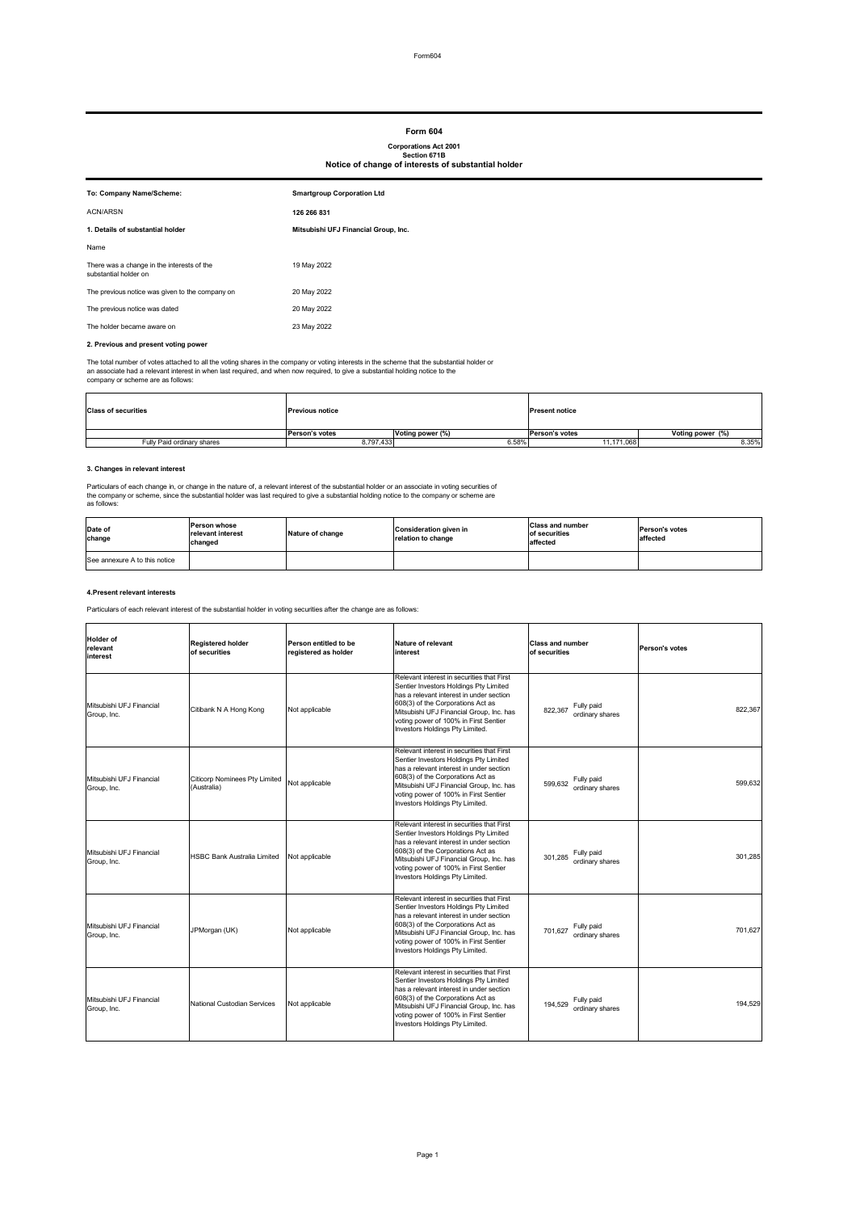Form604

#### **2. Previous and present voting power**

The total number of votes attached to all the voting shares in the company or voting interests in the scheme that the substantial holder or an associate had a relevant interest in when last required, and when now required, to give a substantial holding notice to the company or scheme are as follows:

#### **3. Changes in relevant interest**

Particulars of each change in, or change in the nature of, a relevant interest of the substantial holder or an associate in voting securities of the company or scheme, since the substantial holder was last required to give a substantial holding notice to the company or scheme are as follows:

### **4.Present relevant interests**

Particulars of each relevant interest of the substantial holder in voting securities after the change are as follows:

| To: Company Name/Scheme:                                            | <b>Smartgroup Corporation Ltd</b>    |
|---------------------------------------------------------------------|--------------------------------------|
| <b>ACN/ARSN</b>                                                     | 126 266 831                          |
| 1. Details of substantial holder                                    | Mitsubishi UFJ Financial Group, Inc. |
| Name                                                                |                                      |
| There was a change in the interests of the<br>substantial holder on | 19 May 2022                          |
| The previous notice was given to the company on                     | 20 May 2022                          |
| The previous notice was dated                                       | 20 May 2022                          |
| The holder became aware on                                          | 23 May 2022                          |

| <b>Class of securities</b> | <b>Previous notice</b> |                         | <b>Present notice</b> |                  |  |
|----------------------------|------------------------|-------------------------|-----------------------|------------------|--|
|                            | <b>Person's votes</b>  | <b>Voting power (%)</b> | <b>Person's votes</b> | Voting power (%) |  |
| Fully Paid ordinary shares | 8,797,433              | 6.58%                   | 11,171,068            | 8.35%            |  |

| <b>Holder of</b><br>relevant<br>interest | <b>Registered holder</b><br>of securities           | Person entitled to be<br>registered as holder | <b>Nature of relevant</b><br>interest                                                                                                                                                                                                                                                         | <b>Class and number</b><br>of securities | <b>Person's votes</b> |
|------------------------------------------|-----------------------------------------------------|-----------------------------------------------|-----------------------------------------------------------------------------------------------------------------------------------------------------------------------------------------------------------------------------------------------------------------------------------------------|------------------------------------------|-----------------------|
| Mitsubishi UFJ Financial<br>Group, Inc.  | Citibank N A Hong Kong                              | Not applicable                                | Relevant interest in securities that First<br>Sentier Investors Holdings Pty Limited<br>has a relevant interest in under section<br>608(3) of the Corporations Act as<br>Mitsubishi UFJ Financial Group, Inc. has<br>voting power of 100% in First Sentier<br>Investors Holdings Pty Limited. | Fully paid<br>822,367<br>ordinary shares | 822,367               |
| Mitsubishi UFJ Financial<br>Group, Inc.  | <b>Citicorp Nominees Pty Limited</b><br>(Australia) | Not applicable                                | Relevant interest in securities that First<br>Sentier Investors Holdings Pty Limited<br>has a relevant interest in under section<br>608(3) of the Corporations Act as<br>Mitsubishi UFJ Financial Group, Inc. has<br>voting power of 100% in First Sentier<br>Investors Holdings Pty Limited. | Fully paid<br>599,632<br>ordinary shares | 599,632               |
| Mitsubishi UFJ Financial<br>Group, Inc.  | <b>HSBC Bank Australia Limited</b>                  | Not applicable                                | Relevant interest in securities that First<br>Sentier Investors Holdings Pty Limited<br>has a relevant interest in under section<br>608(3) of the Corporations Act as<br>Mitsubishi UFJ Financial Group, Inc. has<br>voting power of 100% in First Sentier<br>Investors Holdings Pty Limited. | Fully paid<br>301,285<br>ordinary shares | 301,285               |
| Mitsubishi UFJ Financial<br>Group, Inc.  | JPMorgan (UK)                                       | Not applicable                                | Relevant interest in securities that First<br>Sentier Investors Holdings Pty Limited<br>has a relevant interest in under section<br>608(3) of the Corporations Act as<br>Mitsubishi UFJ Financial Group, Inc. has<br>voting power of 100% in First Sentier<br>Investors Holdings Pty Limited. | 701,627 Fully paid<br>ordinary shares    | 701,627               |
| Mitsubishi UFJ Financial<br>Group, Inc.  | National Custodian Services                         | Not applicable                                | Relevant interest in securities that First<br>Sentier Investors Holdings Pty Limited<br>has a relevant interest in under section<br>608(3) of the Corporations Act as<br>Mitsubishi UFJ Financial Group, Inc. has<br>voting power of 100% in First Sentier<br>Investors Holdings Pty Limited. | Fully paid<br>194,529<br>ordinary shares | 194,529               |

| Date of<br>change             | <b>IPerson whose</b><br>relevant interest<br>changed | Nature of change | Consideration given in<br>relation to change | <b>Class and number</b><br>of securities<br><b>affected</b> | <b>IPerson's votes</b><br>laffected |
|-------------------------------|------------------------------------------------------|------------------|----------------------------------------------|-------------------------------------------------------------|-------------------------------------|
| See annexure A to this notice |                                                      |                  |                                              |                                                             |                                     |

# **Form 604**

## **Corporations Act 2001 Section 671B Notice of change of interests of substantial holder**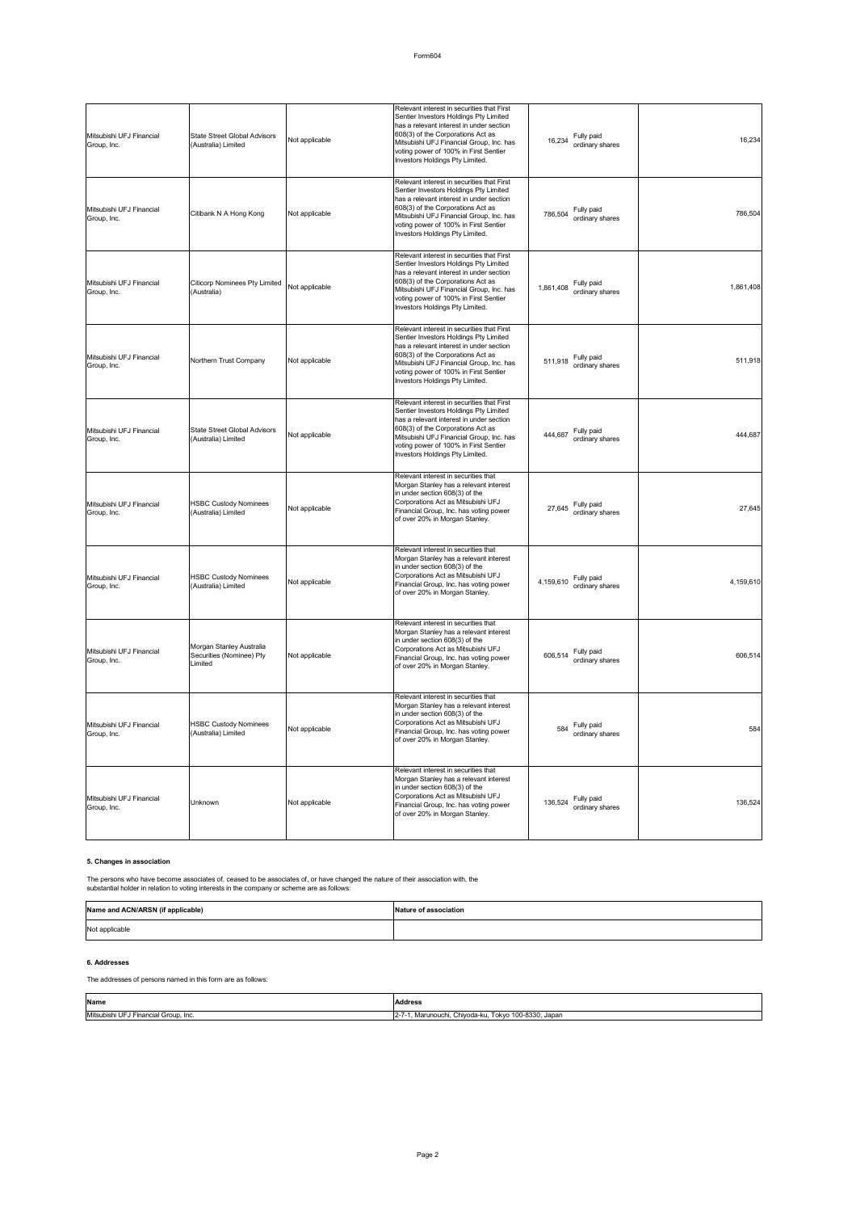# **5. Changes in association**

The persons who have become associates of, ceased to be associates of, or have changed the nature of their association with, the substantial holder in relation to voting interests in the company or scheme are as follows:

## **6. Addresses**

## The addresses of persons named in this form are as follows:

| Mitsubishi UFJ Financial<br>Group, Inc. | State Street Global Advisors<br>(Australia) Limited             | Not applicable | Relevant interest in securities that First<br>Sentier Investors Holdings Pty Limited<br>has a relevant interest in under section<br>608(3) of the Corporations Act as<br>Mitsubishi UFJ Financial Group, Inc. has<br>voting power of 100% in First Sentier<br>Investors Holdings Pty Limited. | Fully paid<br>16,234<br>ordinary shares    | 16,234    |
|-----------------------------------------|-----------------------------------------------------------------|----------------|-----------------------------------------------------------------------------------------------------------------------------------------------------------------------------------------------------------------------------------------------------------------------------------------------|--------------------------------------------|-----------|
| Mitsubishi UFJ Financial<br>Group, Inc. | Citibank N A Hong Kong                                          | Not applicable | Relevant interest in securities that First<br>Sentier Investors Holdings Pty Limited<br>has a relevant interest in under section<br>608(3) of the Corporations Act as<br>Mitsubishi UFJ Financial Group, Inc. has<br>voting power of 100% in First Sentier<br>Investors Holdings Pty Limited. | Fully paid<br>786,504<br>ordinary shares   | 786,504   |
| Mitsubishi UFJ Financial<br>Group, Inc. | <b>Citicorp Nominees Pty Limited</b><br>(Australia)             | Not applicable | Relevant interest in securities that First<br>Sentier Investors Holdings Pty Limited<br>has a relevant interest in under section<br>608(3) of the Corporations Act as<br>Mitsubishi UFJ Financial Group, Inc. has<br>voting power of 100% in First Sentier<br>Investors Holdings Pty Limited. | Fully paid<br>1,861,408<br>ordinary shares | 1,861,408 |
| Mitsubishi UFJ Financial<br>Group, Inc. | Northern Trust Company                                          | Not applicable | Relevant interest in securities that First<br>Sentier Investors Holdings Pty Limited<br>has a relevant interest in under section<br>608(3) of the Corporations Act as<br>Mitsubishi UFJ Financial Group, Inc. has<br>voting power of 100% in First Sentier<br>Investors Holdings Pty Limited. | 511,918 Fully paid<br>ordinary shares      | 511,918   |
| Mitsubishi UFJ Financial<br>Group, Inc. | <b>State Street Global Advisors</b><br>(Australia) Limited      | Not applicable | Relevant interest in securities that First<br>Sentier Investors Holdings Pty Limited<br>has a relevant interest in under section<br>608(3) of the Corporations Act as<br>Mitsubishi UFJ Financial Group, Inc. has<br>voting power of 100% in First Sentier<br>Investors Holdings Pty Limited. | Fully paid<br>444,687<br>ordinary shares   | 444,687   |
| Mitsubishi UFJ Financial<br>Group, Inc. | <b>HSBC Custody Nominees</b><br>(Australia) Limited             | Not applicable | Relevant interest in securities that<br>Morgan Stanley has a relevant interest<br>in under section 608(3) of the<br>Corporations Act as Mitsubishi UFJ<br>Financial Group, Inc. has voting power<br>of over 20% in Morgan Stanley.                                                            | Fully paid<br>27,645<br>ordinary shares    | 27,645    |
| Mitsubishi UFJ Financial<br>Group, Inc. | <b>HSBC Custody Nominees</b><br>(Australia) Limited             | Not applicable | Relevant interest in securities that<br>Morgan Stanley has a relevant interest<br>in under section 608(3) of the<br>Corporations Act as Mitsubishi UFJ<br>Financial Group, Inc. has voting power<br>of over 20% in Morgan Stanley.                                                            | Fully paid<br>4,159,610<br>ordinary shares | 4,159,610 |
| Mitsubishi UFJ Financial<br>Group, Inc. | Morgan Stanley Australia<br>Securities (Nominee) Pty<br>Limited | Not applicable | Relevant interest in securities that<br>Morgan Stanley has a relevant interest<br>in under section 608(3) of the<br>Corporations Act as Mitsubishi UFJ<br>Financial Group, Inc. has voting power<br>of over 20% in Morgan Stanley.                                                            | Fully paid<br>606,514<br>ordinary shares   | 606,514   |
| Mitsubishi UFJ Financial<br>Group, Inc. | <b>HSBC Custody Nominees</b><br>(Australia) Limited             | Not applicable | Relevant interest in securities that<br>Morgan Stanley has a relevant interest<br>in under section 608(3) of the<br>Corporations Act as Mitsubishi UFJ<br>Financial Group, Inc. has voting power<br>of over 20% in Morgan Stanley.                                                            | Fully paid<br>584<br>ordinary shares       | 584       |
| Mitsubishi UFJ Financial<br>Group, Inc. | <b>Unknown</b>                                                  | Not applicable | Relevant interest in securities that<br>Morgan Stanley has a relevant interest<br>in under section 608(3) of the<br>Corporations Act as Mitsubishi UFJ<br>Financial Group, Inc. has voting power<br>of over 20% in Morgan Stanley.                                                            | Fully paid<br>136,524<br>ordinary shares   | 136,524   |

| <b>Name</b>                          | <b>Address</b>                                  |
|--------------------------------------|-------------------------------------------------|
| Mitsubishi UFJ                       | , Marunouchi, Chiyoda-ku, Tokyo 100-8330, Japan |
| <sup>-</sup> I Financial Group, Inc. | $2 - 7$                                         |

| Name and ACN/ARSN (if applicable) | Nature of association |
|-----------------------------------|-----------------------|
| Not applicable                    |                       |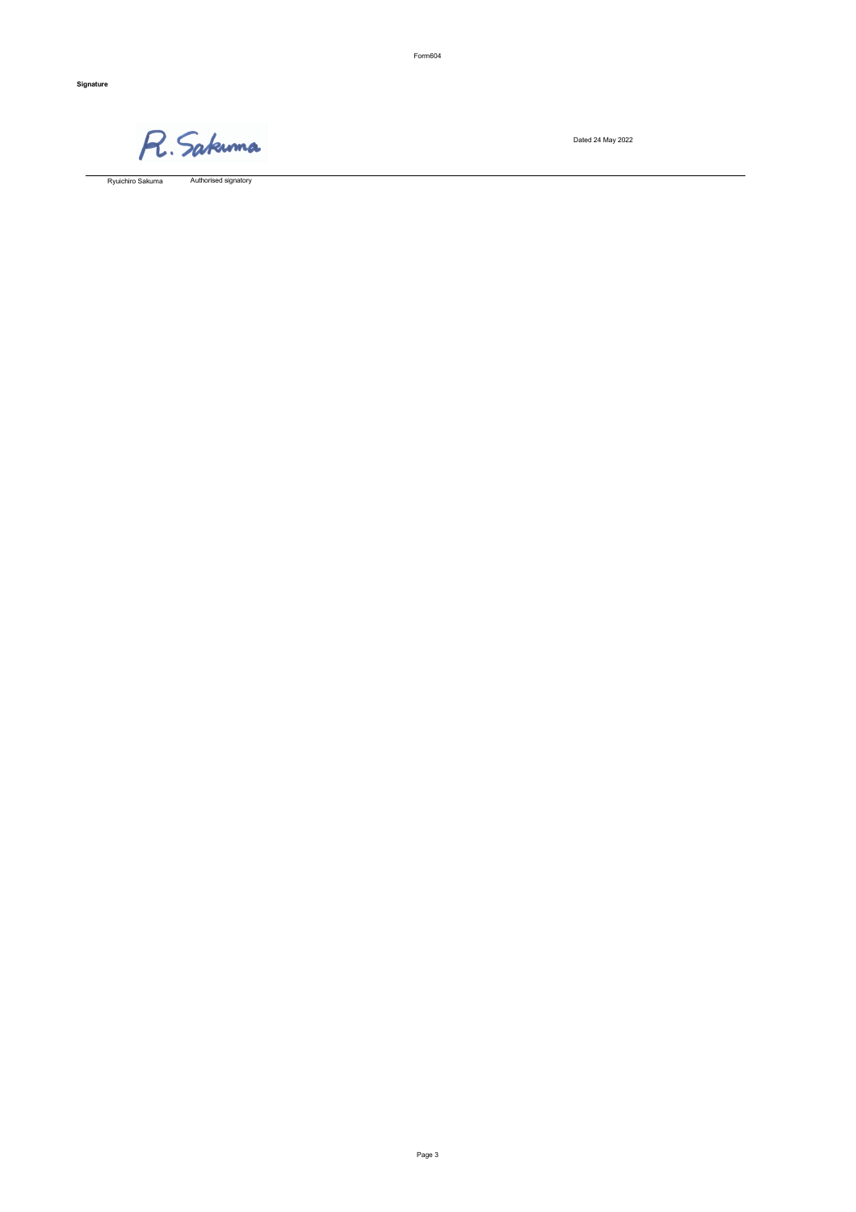Form604

Dated 24 May 2022

Authorised signatory Ryuichiro Sakuma

**Signature**

R. Sakunna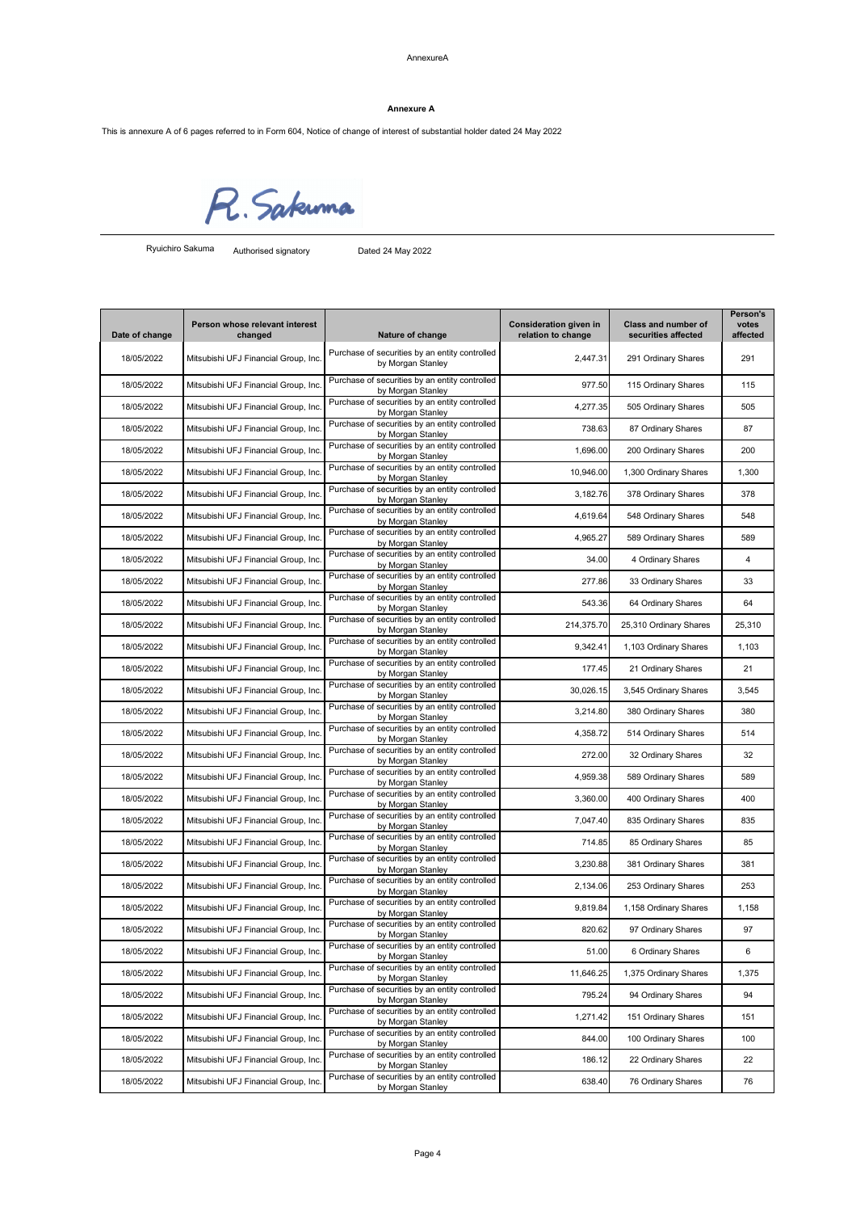This is annexure A of 6 pages referred to in Form 604, Notice of change of interest of substantial holder dated 24 May 2022

R. Sakunna

Authorised signatory Dated 24 May 2022

| Date of change | Person whose relevant interest<br>changed | Nature of change                                                    | <b>Consideration given in</b><br>relation to change | <b>Class and number of</b><br>securities affected | <b>Person's</b><br>votes<br>affected |
|----------------|-------------------------------------------|---------------------------------------------------------------------|-----------------------------------------------------|---------------------------------------------------|--------------------------------------|
| 18/05/2022     | Mitsubishi UFJ Financial Group, Inc.      | Purchase of securities by an entity controlled<br>by Morgan Stanley | 2,447.31                                            | 291 Ordinary Shares                               | 291                                  |
| 18/05/2022     | Mitsubishi UFJ Financial Group, Inc.      | Purchase of securities by an entity controlled<br>by Morgan Stanley | 977.50                                              | 115 Ordinary Shares                               | 115                                  |
| 18/05/2022     | Mitsubishi UFJ Financial Group, Inc.      | Purchase of securities by an entity controlled<br>by Morgan Stanley | 4,277.35                                            | 505 Ordinary Shares                               | 505                                  |
| 18/05/2022     | Mitsubishi UFJ Financial Group, Inc.      | Purchase of securities by an entity controlled<br>by Morgan Stanley | 738.63                                              | 87 Ordinary Shares                                | 87                                   |
| 18/05/2022     | Mitsubishi UFJ Financial Group, Inc.      | Purchase of securities by an entity controlled<br>by Morgan Stanley | 1,696.00                                            | 200 Ordinary Shares                               | 200                                  |
| 18/05/2022     | Mitsubishi UFJ Financial Group, Inc.      | Purchase of securities by an entity controlled<br>by Morgan Stanley | 10,946.00                                           | 1,300 Ordinary Shares                             | 1,300                                |
| 18/05/2022     | Mitsubishi UFJ Financial Group, Inc.      | Purchase of securities by an entity controlled<br>by Morgan Stanley | 3,182.76                                            | 378 Ordinary Shares                               | 378                                  |
| 18/05/2022     | Mitsubishi UFJ Financial Group, Inc.      | Purchase of securities by an entity controlled<br>by Morgan Stanley | 4,619.64                                            | 548 Ordinary Shares                               | 548                                  |
| 18/05/2022     | Mitsubishi UFJ Financial Group, Inc.      | Purchase of securities by an entity controlled<br>by Morgan Stanley | 4,965.27                                            | 589 Ordinary Shares                               | 589                                  |
| 18/05/2022     | Mitsubishi UFJ Financial Group, Inc.      | Purchase of securities by an entity controlled<br>by Morgan Stanley | 34.00                                               | 4 Ordinary Shares                                 | 4                                    |
| 18/05/2022     | Mitsubishi UFJ Financial Group, Inc.      | Purchase of securities by an entity controlled<br>by Morgan Stanley | 277.86                                              | 33 Ordinary Shares                                | 33                                   |
| 18/05/2022     | Mitsubishi UFJ Financial Group, Inc.      | Purchase of securities by an entity controlled<br>by Morgan Stanley | 543.36                                              | 64 Ordinary Shares                                | 64                                   |
| 18/05/2022     | Mitsubishi UFJ Financial Group, Inc.      | Purchase of securities by an entity controlled<br>by Morgan Stanley | 214,375.70                                          | 25,310 Ordinary Shares                            | 25,310                               |
| 18/05/2022     | Mitsubishi UFJ Financial Group, Inc.      | Purchase of securities by an entity controlled<br>by Morgan Stanley | 9,342.41                                            | 1,103 Ordinary Shares                             | 1,103                                |
| 18/05/2022     | Mitsubishi UFJ Financial Group, Inc.      | Purchase of securities by an entity controlled<br>by Morgan Stanley | 177.45                                              | 21 Ordinary Shares                                | 21                                   |
| 18/05/2022     | Mitsubishi UFJ Financial Group, Inc.      | Purchase of securities by an entity controlled<br>by Morgan Stanley | 30,026.15                                           | 3,545 Ordinary Shares                             | 3,545                                |
| 18/05/2022     | Mitsubishi UFJ Financial Group, Inc.      | Purchase of securities by an entity controlled<br>by Morgan Stanley | 3,214.80                                            | 380 Ordinary Shares                               | 380                                  |
| 18/05/2022     | Mitsubishi UFJ Financial Group, Inc.      | Purchase of securities by an entity controlled<br>by Morgan Stanley | 4,358.72                                            | 514 Ordinary Shares                               | 514                                  |
| 18/05/2022     | Mitsubishi UFJ Financial Group, Inc.      | Purchase of securities by an entity controlled<br>by Morgan Stanley | 272.00                                              | 32 Ordinary Shares                                | 32                                   |
| 18/05/2022     | Mitsubishi UFJ Financial Group, Inc.      | Purchase of securities by an entity controlled<br>by Morgan Stanley | 4,959.38                                            | 589 Ordinary Shares                               | 589                                  |
| 18/05/2022     | Mitsubishi UFJ Financial Group, Inc.      | Purchase of securities by an entity controlled<br>by Morgan Stanley | 3,360.00                                            | 400 Ordinary Shares                               | 400                                  |
| 18/05/2022     | Mitsubishi UFJ Financial Group, Inc.      | Purchase of securities by an entity controlled<br>by Morgan Stanley | 7,047.40                                            | 835 Ordinary Shares                               | 835                                  |
| 18/05/2022     | Mitsubishi UFJ Financial Group, Inc.      | Purchase of securities by an entity controlled<br>by Morgan Stanley | 714.85                                              | 85 Ordinary Shares                                | 85                                   |
| 18/05/2022     | Mitsubishi UFJ Financial Group, Inc.      | Purchase of securities by an entity controlled<br>by Morgan Stanley | 3,230.88                                            | 381 Ordinary Shares                               | 381                                  |
| 18/05/2022     | Mitsubishi UFJ Financial Group, Inc.      | Purchase of securities by an entity controlled<br>by Morgan Stanley | 2,134.06                                            | 253 Ordinary Shares                               | 253                                  |
| 18/05/2022     | Mitsubishi UFJ Financial Group, Inc.      | Purchase of securities by an entity controlled<br>by Morgan Stanley | 9,819.84                                            | 1,158 Ordinary Shares                             | 1,158                                |
| 18/05/2022     | Mitsubishi UFJ Financial Group, Inc.      | Purchase of securities by an entity controlled<br>by Morgan Stanley | 820.62                                              | 97 Ordinary Shares                                | 97                                   |
| 18/05/2022     | Mitsubishi UFJ Financial Group, Inc.      | Purchase of securities by an entity controlled<br>by Morgan Stanley | 51.00                                               | 6 Ordinary Shares                                 | $6\phantom{1}6$                      |
| 18/05/2022     | Mitsubishi UFJ Financial Group, Inc.      | Purchase of securities by an entity controlled<br>by Morgan Stanley | 11,646.25                                           | 1,375 Ordinary Shares                             | 1,375                                |
| 18/05/2022     | Mitsubishi UFJ Financial Group, Inc.      | Purchase of securities by an entity controlled<br>by Morgan Stanley | 795.24                                              | 94 Ordinary Shares                                | 94                                   |
| 18/05/2022     | Mitsubishi UFJ Financial Group, Inc.      | Purchase of securities by an entity controlled<br>by Morgan Stanley | 1,271.42                                            | 151 Ordinary Shares                               | 151                                  |
| 18/05/2022     | Mitsubishi UFJ Financial Group, Inc.      | Purchase of securities by an entity controlled<br>by Morgan Stanley | 844.00                                              | 100 Ordinary Shares                               | 100                                  |
| 18/05/2022     | Mitsubishi UFJ Financial Group, Inc.      | Purchase of securities by an entity controlled<br>by Morgan Stanley | 186.12                                              | 22 Ordinary Shares                                | 22                                   |
| 18/05/2022     | Mitsubishi UFJ Financial Group, Inc.      | Purchase of securities by an entity controlled<br>by Morgan Stanley | 638.40                                              | 76 Ordinary Shares                                | 76                                   |

#### **Annexure A**

Ryuichiro Sakuma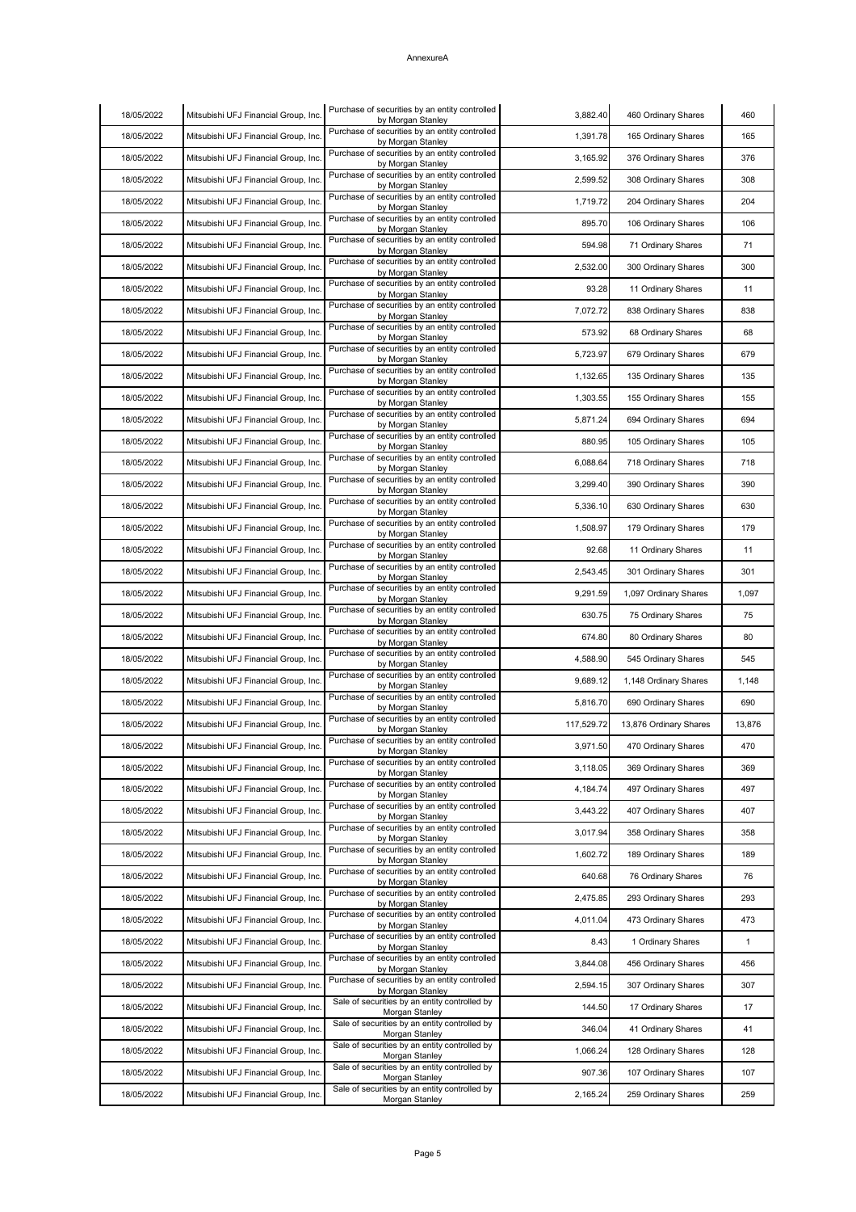| by Morgan Stanley<br>Purchase of securities by an entity controlled<br>Mitsubishi UFJ Financial Group, Inc.<br>1,391.78<br>165 Ordinary Shares<br>165<br>18/05/2022<br>by Morgan Stanley<br>Purchase of securities by an entity controlled<br>18/05/2022<br>Mitsubishi UFJ Financial Group, Inc.<br>3,165.92<br>376 Ordinary Shares<br>376<br>by Morgan Stanley<br>Purchase of securities by an entity controlled<br>18/05/2022<br>Mitsubishi UFJ Financial Group, Inc.<br>2,599.52<br>308 Ordinary Shares<br>308<br>by Morgan Stanley<br>Purchase of securities by an entity controlled<br>18/05/2022<br>Mitsubishi UFJ Financial Group, Inc.<br>1,719.72<br>204 Ordinary Shares<br>204<br>by Morgan Stanley<br>Purchase of securities by an entity controlled<br>18/05/2022<br>Mitsubishi UFJ Financial Group, Inc.<br>895.70<br>106 Ordinary Shares<br>106<br>by Morgan Stanley<br>Purchase of securities by an entity controlled<br>Mitsubishi UFJ Financial Group, Inc.<br>18/05/2022<br>594.98<br>71 Ordinary Shares<br>71<br>by Morgan Stanley<br>Purchase of securities by an entity controlled<br>Mitsubishi UFJ Financial Group, Inc.<br>18/05/2022<br>2,532.00<br>300 Ordinary Shares<br>300<br>by Morgan Stanley<br>Purchase of securities by an entity controlled<br>Mitsubishi UFJ Financial Group, Inc.<br>93.28<br>11 Ordinary Shares<br>11<br>18/05/2022<br>by Morgan Stanley<br>Purchase of securities by an entity controlled<br>18/05/2022<br>Mitsubishi UFJ Financial Group, Inc.<br>7,072.72<br>838 Ordinary Shares<br>838<br>by Morgan Stanley<br>Purchase of securities by an entity controlled<br>Mitsubishi UFJ Financial Group, Inc.<br>18/05/2022<br>573.92<br>68 Ordinary Shares<br>68<br>by Morgan Stanley<br>Purchase of securities by an entity controlled<br>18/05/2022<br>679 Ordinary Shares<br>Mitsubishi UFJ Financial Group, Inc.<br>5,723.97<br>679<br>by Morgan Stanley<br>Purchase of securities by an entity controlled<br>18/05/2022<br>Mitsubishi UFJ Financial Group, Inc.<br>1,132.65<br>135 Ordinary Shares<br>135<br>by Morgan Stanley<br>Purchase of securities by an entity controlled<br>Mitsubishi UFJ Financial Group, Inc.<br>18/05/2022<br>1,303.55<br>155 Ordinary Shares<br>155<br>by Morgan Stanley |
|---------------------------------------------------------------------------------------------------------------------------------------------------------------------------------------------------------------------------------------------------------------------------------------------------------------------------------------------------------------------------------------------------------------------------------------------------------------------------------------------------------------------------------------------------------------------------------------------------------------------------------------------------------------------------------------------------------------------------------------------------------------------------------------------------------------------------------------------------------------------------------------------------------------------------------------------------------------------------------------------------------------------------------------------------------------------------------------------------------------------------------------------------------------------------------------------------------------------------------------------------------------------------------------------------------------------------------------------------------------------------------------------------------------------------------------------------------------------------------------------------------------------------------------------------------------------------------------------------------------------------------------------------------------------------------------------------------------------------------------------------------------------------------------------------------------------------------------------------------------------------------------------------------------------------------------------------------------------------------------------------------------------------------------------------------------------------------------------------------------------------------------------------------------------------------------------------------------------------------------------------------------|
|                                                                                                                                                                                                                                                                                                                                                                                                                                                                                                                                                                                                                                                                                                                                                                                                                                                                                                                                                                                                                                                                                                                                                                                                                                                                                                                                                                                                                                                                                                                                                                                                                                                                                                                                                                                                                                                                                                                                                                                                                                                                                                                                                                                                                                                               |
|                                                                                                                                                                                                                                                                                                                                                                                                                                                                                                                                                                                                                                                                                                                                                                                                                                                                                                                                                                                                                                                                                                                                                                                                                                                                                                                                                                                                                                                                                                                                                                                                                                                                                                                                                                                                                                                                                                                                                                                                                                                                                                                                                                                                                                                               |
|                                                                                                                                                                                                                                                                                                                                                                                                                                                                                                                                                                                                                                                                                                                                                                                                                                                                                                                                                                                                                                                                                                                                                                                                                                                                                                                                                                                                                                                                                                                                                                                                                                                                                                                                                                                                                                                                                                                                                                                                                                                                                                                                                                                                                                                               |
|                                                                                                                                                                                                                                                                                                                                                                                                                                                                                                                                                                                                                                                                                                                                                                                                                                                                                                                                                                                                                                                                                                                                                                                                                                                                                                                                                                                                                                                                                                                                                                                                                                                                                                                                                                                                                                                                                                                                                                                                                                                                                                                                                                                                                                                               |
|                                                                                                                                                                                                                                                                                                                                                                                                                                                                                                                                                                                                                                                                                                                                                                                                                                                                                                                                                                                                                                                                                                                                                                                                                                                                                                                                                                                                                                                                                                                                                                                                                                                                                                                                                                                                                                                                                                                                                                                                                                                                                                                                                                                                                                                               |
|                                                                                                                                                                                                                                                                                                                                                                                                                                                                                                                                                                                                                                                                                                                                                                                                                                                                                                                                                                                                                                                                                                                                                                                                                                                                                                                                                                                                                                                                                                                                                                                                                                                                                                                                                                                                                                                                                                                                                                                                                                                                                                                                                                                                                                                               |
|                                                                                                                                                                                                                                                                                                                                                                                                                                                                                                                                                                                                                                                                                                                                                                                                                                                                                                                                                                                                                                                                                                                                                                                                                                                                                                                                                                                                                                                                                                                                                                                                                                                                                                                                                                                                                                                                                                                                                                                                                                                                                                                                                                                                                                                               |
|                                                                                                                                                                                                                                                                                                                                                                                                                                                                                                                                                                                                                                                                                                                                                                                                                                                                                                                                                                                                                                                                                                                                                                                                                                                                                                                                                                                                                                                                                                                                                                                                                                                                                                                                                                                                                                                                                                                                                                                                                                                                                                                                                                                                                                                               |
|                                                                                                                                                                                                                                                                                                                                                                                                                                                                                                                                                                                                                                                                                                                                                                                                                                                                                                                                                                                                                                                                                                                                                                                                                                                                                                                                                                                                                                                                                                                                                                                                                                                                                                                                                                                                                                                                                                                                                                                                                                                                                                                                                                                                                                                               |
|                                                                                                                                                                                                                                                                                                                                                                                                                                                                                                                                                                                                                                                                                                                                                                                                                                                                                                                                                                                                                                                                                                                                                                                                                                                                                                                                                                                                                                                                                                                                                                                                                                                                                                                                                                                                                                                                                                                                                                                                                                                                                                                                                                                                                                                               |
|                                                                                                                                                                                                                                                                                                                                                                                                                                                                                                                                                                                                                                                                                                                                                                                                                                                                                                                                                                                                                                                                                                                                                                                                                                                                                                                                                                                                                                                                                                                                                                                                                                                                                                                                                                                                                                                                                                                                                                                                                                                                                                                                                                                                                                                               |
|                                                                                                                                                                                                                                                                                                                                                                                                                                                                                                                                                                                                                                                                                                                                                                                                                                                                                                                                                                                                                                                                                                                                                                                                                                                                                                                                                                                                                                                                                                                                                                                                                                                                                                                                                                                                                                                                                                                                                                                                                                                                                                                                                                                                                                                               |
|                                                                                                                                                                                                                                                                                                                                                                                                                                                                                                                                                                                                                                                                                                                                                                                                                                                                                                                                                                                                                                                                                                                                                                                                                                                                                                                                                                                                                                                                                                                                                                                                                                                                                                                                                                                                                                                                                                                                                                                                                                                                                                                                                                                                                                                               |
| Purchase of securities by an entity controlled<br>Mitsubishi UFJ Financial Group, Inc.<br>18/05/2022<br>5,871.24<br>694 Ordinary Shares<br>694<br>by Morgan Stanley                                                                                                                                                                                                                                                                                                                                                                                                                                                                                                                                                                                                                                                                                                                                                                                                                                                                                                                                                                                                                                                                                                                                                                                                                                                                                                                                                                                                                                                                                                                                                                                                                                                                                                                                                                                                                                                                                                                                                                                                                                                                                           |
| Purchase of securities by an entity controlled<br>Mitsubishi UFJ Financial Group, Inc.<br>18/05/2022<br>880.95<br>105 Ordinary Shares<br>105<br>by Morgan Stanley                                                                                                                                                                                                                                                                                                                                                                                                                                                                                                                                                                                                                                                                                                                                                                                                                                                                                                                                                                                                                                                                                                                                                                                                                                                                                                                                                                                                                                                                                                                                                                                                                                                                                                                                                                                                                                                                                                                                                                                                                                                                                             |
| Purchase of securities by an entity controlled<br>18/05/2022<br>Mitsubishi UFJ Financial Group, Inc.<br>6,088.64<br>718 Ordinary Shares<br>718<br>by Morgan Stanley                                                                                                                                                                                                                                                                                                                                                                                                                                                                                                                                                                                                                                                                                                                                                                                                                                                                                                                                                                                                                                                                                                                                                                                                                                                                                                                                                                                                                                                                                                                                                                                                                                                                                                                                                                                                                                                                                                                                                                                                                                                                                           |
| Purchase of securities by an entity controlled<br>18/05/2022<br>Mitsubishi UFJ Financial Group, Inc.<br>3,299.40<br>390 Ordinary Shares<br>390<br>by Morgan Stanley                                                                                                                                                                                                                                                                                                                                                                                                                                                                                                                                                                                                                                                                                                                                                                                                                                                                                                                                                                                                                                                                                                                                                                                                                                                                                                                                                                                                                                                                                                                                                                                                                                                                                                                                                                                                                                                                                                                                                                                                                                                                                           |
| Purchase of securities by an entity controlled<br>18/05/2022<br>Mitsubishi UFJ Financial Group, Inc.<br>5,336.10<br>630 Ordinary Shares<br>630<br>by Morgan Stanley                                                                                                                                                                                                                                                                                                                                                                                                                                                                                                                                                                                                                                                                                                                                                                                                                                                                                                                                                                                                                                                                                                                                                                                                                                                                                                                                                                                                                                                                                                                                                                                                                                                                                                                                                                                                                                                                                                                                                                                                                                                                                           |
| Purchase of securities by an entity controlled<br>Mitsubishi UFJ Financial Group, Inc.<br>1,508.97<br>179 Ordinary Shares<br>18/05/2022<br>179<br>by Morgan Stanley                                                                                                                                                                                                                                                                                                                                                                                                                                                                                                                                                                                                                                                                                                                                                                                                                                                                                                                                                                                                                                                                                                                                                                                                                                                                                                                                                                                                                                                                                                                                                                                                                                                                                                                                                                                                                                                                                                                                                                                                                                                                                           |
| Purchase of securities by an entity controlled<br>Mitsubishi UFJ Financial Group, Inc.<br>92.68<br>11 Ordinary Shares<br>18/05/2022<br>11<br>by Morgan Stanley                                                                                                                                                                                                                                                                                                                                                                                                                                                                                                                                                                                                                                                                                                                                                                                                                                                                                                                                                                                                                                                                                                                                                                                                                                                                                                                                                                                                                                                                                                                                                                                                                                                                                                                                                                                                                                                                                                                                                                                                                                                                                                |
| Purchase of securities by an entity controlled<br>18/05/2022<br>Mitsubishi UFJ Financial Group, Inc.<br>2,543.45<br>301 Ordinary Shares<br>301<br>by Morgan Stanley                                                                                                                                                                                                                                                                                                                                                                                                                                                                                                                                                                                                                                                                                                                                                                                                                                                                                                                                                                                                                                                                                                                                                                                                                                                                                                                                                                                                                                                                                                                                                                                                                                                                                                                                                                                                                                                                                                                                                                                                                                                                                           |
| Purchase of securities by an entity controlled<br>18/05/2022<br>Mitsubishi UFJ Financial Group, Inc.<br>9,291.59<br>1,097 Ordinary Shares<br>1,097<br>by Morgan Stanley                                                                                                                                                                                                                                                                                                                                                                                                                                                                                                                                                                                                                                                                                                                                                                                                                                                                                                                                                                                                                                                                                                                                                                                                                                                                                                                                                                                                                                                                                                                                                                                                                                                                                                                                                                                                                                                                                                                                                                                                                                                                                       |
| Purchase of securities by an entity controlled<br>18/05/2022<br>Mitsubishi UFJ Financial Group, Inc.<br>630.75<br>75 Ordinary Shares<br>75<br>by Morgan Stanley                                                                                                                                                                                                                                                                                                                                                                                                                                                                                                                                                                                                                                                                                                                                                                                                                                                                                                                                                                                                                                                                                                                                                                                                                                                                                                                                                                                                                                                                                                                                                                                                                                                                                                                                                                                                                                                                                                                                                                                                                                                                                               |
| Purchase of securities by an entity controlled<br>Mitsubishi UFJ Financial Group, Inc.<br>18/05/2022<br>674.80<br>80 Ordinary Shares<br>80<br>by Morgan Stanley                                                                                                                                                                                                                                                                                                                                                                                                                                                                                                                                                                                                                                                                                                                                                                                                                                                                                                                                                                                                                                                                                                                                                                                                                                                                                                                                                                                                                                                                                                                                                                                                                                                                                                                                                                                                                                                                                                                                                                                                                                                                                               |
| Purchase of securities by an entity controlled<br>Mitsubishi UFJ Financial Group, Inc.<br>18/05/2022<br>4,588.90<br>545 Ordinary Shares<br>545<br>by Morgan Stanley                                                                                                                                                                                                                                                                                                                                                                                                                                                                                                                                                                                                                                                                                                                                                                                                                                                                                                                                                                                                                                                                                                                                                                                                                                                                                                                                                                                                                                                                                                                                                                                                                                                                                                                                                                                                                                                                                                                                                                                                                                                                                           |
| Purchase of securities by an entity controlled<br>Mitsubishi UFJ Financial Group, Inc.<br>18/05/2022<br>9,689.12<br>1,148 Ordinary Shares<br>1,148<br>by Morgan Stanley                                                                                                                                                                                                                                                                                                                                                                                                                                                                                                                                                                                                                                                                                                                                                                                                                                                                                                                                                                                                                                                                                                                                                                                                                                                                                                                                                                                                                                                                                                                                                                                                                                                                                                                                                                                                                                                                                                                                                                                                                                                                                       |
| Purchase of securities by an entity controlled<br>18/05/2022<br>Mitsubishi UFJ Financial Group, Inc.<br>5,816.70<br>690 Ordinary Shares<br>690<br>by Morgan Stanley                                                                                                                                                                                                                                                                                                                                                                                                                                                                                                                                                                                                                                                                                                                                                                                                                                                                                                                                                                                                                                                                                                                                                                                                                                                                                                                                                                                                                                                                                                                                                                                                                                                                                                                                                                                                                                                                                                                                                                                                                                                                                           |
| Purchase of securities by an entity controlled<br>18/05/2022<br>Mitsubishi UFJ Financial Group, Inc.<br>117,529.72<br>13,876 Ordinary Shares<br>13,876<br>by Morgan Stanley                                                                                                                                                                                                                                                                                                                                                                                                                                                                                                                                                                                                                                                                                                                                                                                                                                                                                                                                                                                                                                                                                                                                                                                                                                                                                                                                                                                                                                                                                                                                                                                                                                                                                                                                                                                                                                                                                                                                                                                                                                                                                   |
| Purchase of securities by an entity controlled<br>3,971.50<br>18/05/2022<br>Mitsubishi UFJ Financial Group, Inc.<br>470 Ordinary Shares<br>470<br>by Morgan Stanley                                                                                                                                                                                                                                                                                                                                                                                                                                                                                                                                                                                                                                                                                                                                                                                                                                                                                                                                                                                                                                                                                                                                                                                                                                                                                                                                                                                                                                                                                                                                                                                                                                                                                                                                                                                                                                                                                                                                                                                                                                                                                           |
| Purchase of securities by an entity controlled<br>18/05/2022<br>Mitsubishi UFJ Financial Group, Inc.<br>3,118.05<br>369 Ordinary Shares<br>369<br>by Morgan Stanley                                                                                                                                                                                                                                                                                                                                                                                                                                                                                                                                                                                                                                                                                                                                                                                                                                                                                                                                                                                                                                                                                                                                                                                                                                                                                                                                                                                                                                                                                                                                                                                                                                                                                                                                                                                                                                                                                                                                                                                                                                                                                           |
| Purchase of securities by an entity controlled<br>18/05/2022<br>Mitsubishi UFJ Financial Group, Inc.<br>4,184.74<br>497 Ordinary Shares<br>497<br>by Morgan Stanley                                                                                                                                                                                                                                                                                                                                                                                                                                                                                                                                                                                                                                                                                                                                                                                                                                                                                                                                                                                                                                                                                                                                                                                                                                                                                                                                                                                                                                                                                                                                                                                                                                                                                                                                                                                                                                                                                                                                                                                                                                                                                           |
| Purchase of securities by an entity controlled<br>Mitsubishi UFJ Financial Group, Inc.<br>3,443.22<br>407 Ordinary Shares<br>18/05/2022<br>407<br>by Morgan Stanley                                                                                                                                                                                                                                                                                                                                                                                                                                                                                                                                                                                                                                                                                                                                                                                                                                                                                                                                                                                                                                                                                                                                                                                                                                                                                                                                                                                                                                                                                                                                                                                                                                                                                                                                                                                                                                                                                                                                                                                                                                                                                           |
| Purchase of securities by an entity controlled<br>Mitsubishi UFJ Financial Group, Inc.<br>18/05/2022<br>3,017.94<br>358 Ordinary Shares<br>358<br>by Morgan Stanley                                                                                                                                                                                                                                                                                                                                                                                                                                                                                                                                                                                                                                                                                                                                                                                                                                                                                                                                                                                                                                                                                                                                                                                                                                                                                                                                                                                                                                                                                                                                                                                                                                                                                                                                                                                                                                                                                                                                                                                                                                                                                           |
| Purchase of securities by an entity controlled<br>189 Ordinary Shares<br>18/05/2022<br>Mitsubishi UFJ Financial Group, Inc.<br>189<br>1,602.72<br>by Morgan Stanley                                                                                                                                                                                                                                                                                                                                                                                                                                                                                                                                                                                                                                                                                                                                                                                                                                                                                                                                                                                                                                                                                                                                                                                                                                                                                                                                                                                                                                                                                                                                                                                                                                                                                                                                                                                                                                                                                                                                                                                                                                                                                           |
| Purchase of securities by an entity controlled<br>Mitsubishi UFJ Financial Group, Inc.<br>18/05/2022<br>640.68<br>76 Ordinary Shares<br>76<br>by Morgan Stanley                                                                                                                                                                                                                                                                                                                                                                                                                                                                                                                                                                                                                                                                                                                                                                                                                                                                                                                                                                                                                                                                                                                                                                                                                                                                                                                                                                                                                                                                                                                                                                                                                                                                                                                                                                                                                                                                                                                                                                                                                                                                                               |
| Purchase of securities by an entity controlled<br>Mitsubishi UFJ Financial Group, Inc.<br>18/05/2022<br>2,475.85<br>293 Ordinary Shares<br>293<br>by Morgan Stanley                                                                                                                                                                                                                                                                                                                                                                                                                                                                                                                                                                                                                                                                                                                                                                                                                                                                                                                                                                                                                                                                                                                                                                                                                                                                                                                                                                                                                                                                                                                                                                                                                                                                                                                                                                                                                                                                                                                                                                                                                                                                                           |
| Purchase of securities by an entity controlled<br>Mitsubishi UFJ Financial Group, Inc.<br>18/05/2022<br>4,011.04<br>473 Ordinary Shares<br>473<br>by Morgan Stanley                                                                                                                                                                                                                                                                                                                                                                                                                                                                                                                                                                                                                                                                                                                                                                                                                                                                                                                                                                                                                                                                                                                                                                                                                                                                                                                                                                                                                                                                                                                                                                                                                                                                                                                                                                                                                                                                                                                                                                                                                                                                                           |
| Purchase of securities by an entity controlled<br>Mitsubishi UFJ Financial Group, Inc.<br>8.43<br>1 Ordinary Shares<br>18/05/2022<br>-1<br>by Morgan Stanley                                                                                                                                                                                                                                                                                                                                                                                                                                                                                                                                                                                                                                                                                                                                                                                                                                                                                                                                                                                                                                                                                                                                                                                                                                                                                                                                                                                                                                                                                                                                                                                                                                                                                                                                                                                                                                                                                                                                                                                                                                                                                                  |
| Purchase of securities by an entity controlled<br>Mitsubishi UFJ Financial Group, Inc.<br>18/05/2022<br>3,844.08<br>456 Ordinary Shares<br>456<br>by Morgan Stanley                                                                                                                                                                                                                                                                                                                                                                                                                                                                                                                                                                                                                                                                                                                                                                                                                                                                                                                                                                                                                                                                                                                                                                                                                                                                                                                                                                                                                                                                                                                                                                                                                                                                                                                                                                                                                                                                                                                                                                                                                                                                                           |
| Purchase of securities by an entity controlled<br>Mitsubishi UFJ Financial Group, Inc.<br>2,594.15<br>18/05/2022<br>307 Ordinary Shares<br>307<br>by Morgan Stanley                                                                                                                                                                                                                                                                                                                                                                                                                                                                                                                                                                                                                                                                                                                                                                                                                                                                                                                                                                                                                                                                                                                                                                                                                                                                                                                                                                                                                                                                                                                                                                                                                                                                                                                                                                                                                                                                                                                                                                                                                                                                                           |
| Sale of securities by an entity controlled by<br>18/05/2022<br>Mitsubishi UFJ Financial Group, Inc.<br>17<br>144.50<br>17 Ordinary Shares<br>Morgan Stanley                                                                                                                                                                                                                                                                                                                                                                                                                                                                                                                                                                                                                                                                                                                                                                                                                                                                                                                                                                                                                                                                                                                                                                                                                                                                                                                                                                                                                                                                                                                                                                                                                                                                                                                                                                                                                                                                                                                                                                                                                                                                                                   |
| Sale of securities by an entity controlled by<br>18/05/2022<br>Mitsubishi UFJ Financial Group, Inc.<br>346.04<br>41 Ordinary Shares<br>41                                                                                                                                                                                                                                                                                                                                                                                                                                                                                                                                                                                                                                                                                                                                                                                                                                                                                                                                                                                                                                                                                                                                                                                                                                                                                                                                                                                                                                                                                                                                                                                                                                                                                                                                                                                                                                                                                                                                                                                                                                                                                                                     |
| Morgan Stanley<br>Sale of securities by an entity controlled by<br>Mitsubishi UFJ Financial Group, Inc.<br>1,066.24<br>128 Ordinary Shares<br>128<br>18/05/2022                                                                                                                                                                                                                                                                                                                                                                                                                                                                                                                                                                                                                                                                                                                                                                                                                                                                                                                                                                                                                                                                                                                                                                                                                                                                                                                                                                                                                                                                                                                                                                                                                                                                                                                                                                                                                                                                                                                                                                                                                                                                                               |
| Morgan Stanley<br>Sale of securities by an entity controlled by<br>Mitsubishi UFJ Financial Group, Inc.<br>18/05/2022<br>907.36<br>107 Ordinary Shares<br>107                                                                                                                                                                                                                                                                                                                                                                                                                                                                                                                                                                                                                                                                                                                                                                                                                                                                                                                                                                                                                                                                                                                                                                                                                                                                                                                                                                                                                                                                                                                                                                                                                                                                                                                                                                                                                                                                                                                                                                                                                                                                                                 |
| Morgan Stanley<br>Sale of securities by an entity controlled by<br>18/05/2022<br>Mitsubishi UFJ Financial Group, Inc.<br>259 Ordinary Shares<br>259<br>2,165.24                                                                                                                                                                                                                                                                                                                                                                                                                                                                                                                                                                                                                                                                                                                                                                                                                                                                                                                                                                                                                                                                                                                                                                                                                                                                                                                                                                                                                                                                                                                                                                                                                                                                                                                                                                                                                                                                                                                                                                                                                                                                                               |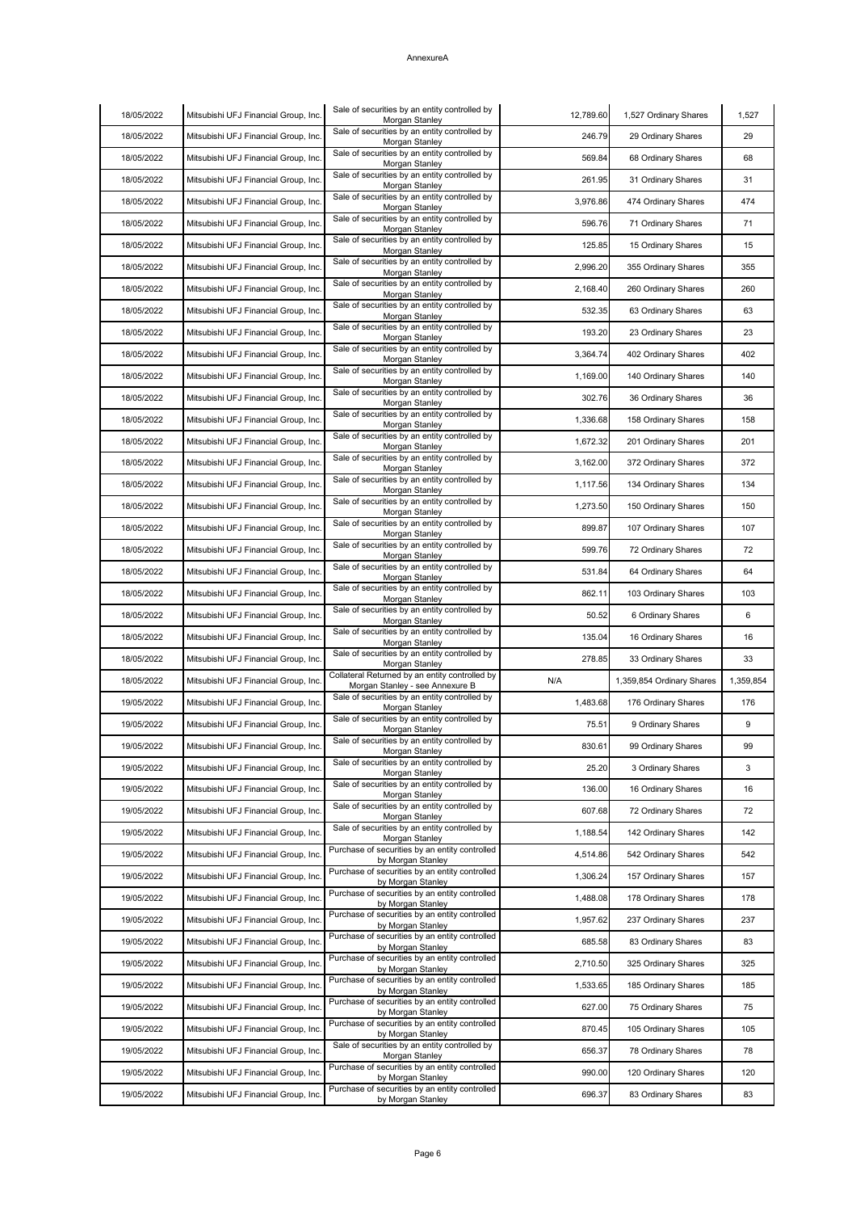| 18/05/2022 | Mitsubishi UFJ Financial Group, Inc. | Sale of securities by an entity controlled by<br>Morgan Stanley                   | 12,789.60 | 1,527 Ordinary Shares     | 1,527     |
|------------|--------------------------------------|-----------------------------------------------------------------------------------|-----------|---------------------------|-----------|
| 18/05/2022 | Mitsubishi UFJ Financial Group, Inc. | Sale of securities by an entity controlled by<br>Morgan Stanley                   | 246.79    | 29 Ordinary Shares        | 29        |
| 18/05/2022 | Mitsubishi UFJ Financial Group, Inc. | Sale of securities by an entity controlled by<br>Morgan Stanley                   | 569.84    | 68 Ordinary Shares        | 68        |
| 18/05/2022 | Mitsubishi UFJ Financial Group, Inc. | Sale of securities by an entity controlled by<br>Morgan Stanley                   | 261.95    | 31 Ordinary Shares        | 31        |
| 18/05/2022 | Mitsubishi UFJ Financial Group, Inc. | Sale of securities by an entity controlled by<br>Morgan Stanley                   | 3,976.86  | 474 Ordinary Shares       | 474       |
| 18/05/2022 | Mitsubishi UFJ Financial Group, Inc. | Sale of securities by an entity controlled by<br>Morgan Stanley                   | 596.76    | 71 Ordinary Shares        | 71        |
| 18/05/2022 | Mitsubishi UFJ Financial Group, Inc. | Sale of securities by an entity controlled by<br>Morgan Stanley                   | 125.85    | 15 Ordinary Shares        | 15        |
| 18/05/2022 | Mitsubishi UFJ Financial Group, Inc. | Sale of securities by an entity controlled by<br>Morgan Stanley                   | 2,996.20  | 355 Ordinary Shares       | 355       |
| 18/05/2022 | Mitsubishi UFJ Financial Group, Inc. | Sale of securities by an entity controlled by<br>Morgan Stanley                   | 2,168.40  | 260 Ordinary Shares       | 260       |
| 18/05/2022 | Mitsubishi UFJ Financial Group, Inc. | Sale of securities by an entity controlled by<br>Morgan Stanley                   | 532.35    | 63 Ordinary Shares        | 63        |
| 18/05/2022 | Mitsubishi UFJ Financial Group, Inc. | Sale of securities by an entity controlled by<br>Morgan Stanley                   | 193.20    | 23 Ordinary Shares        | 23        |
| 18/05/2022 | Mitsubishi UFJ Financial Group, Inc. | Sale of securities by an entity controlled by<br>Morgan Stanley                   | 3,364.74  | 402 Ordinary Shares       | 402       |
| 18/05/2022 | Mitsubishi UFJ Financial Group, Inc. | Sale of securities by an entity controlled by<br>Morgan Stanley                   | 1,169.00  | 140 Ordinary Shares       | 140       |
| 18/05/2022 | Mitsubishi UFJ Financial Group, Inc. | Sale of securities by an entity controlled by<br>Morgan Stanley                   | 302.76    | 36 Ordinary Shares        | 36        |
| 18/05/2022 | Mitsubishi UFJ Financial Group, Inc. | Sale of securities by an entity controlled by<br>Morgan Stanley                   | 1,336.68  | 158 Ordinary Shares       | 158       |
| 18/05/2022 | Mitsubishi UFJ Financial Group, Inc. | Sale of securities by an entity controlled by<br>Morgan Stanley                   | 1,672.32  | 201 Ordinary Shares       | 201       |
| 18/05/2022 | Mitsubishi UFJ Financial Group, Inc. | Sale of securities by an entity controlled by<br>Morgan Stanley                   | 3,162.00  | 372 Ordinary Shares       | 372       |
| 18/05/2022 | Mitsubishi UFJ Financial Group, Inc. | Sale of securities by an entity controlled by<br>Morgan Stanley                   | 1,117.56  | 134 Ordinary Shares       | 134       |
| 18/05/2022 | Mitsubishi UFJ Financial Group, Inc. | Sale of securities by an entity controlled by<br>Morgan Stanley                   | 1,273.50  | 150 Ordinary Shares       | 150       |
| 18/05/2022 | Mitsubishi UFJ Financial Group, Inc. | Sale of securities by an entity controlled by<br>Morgan Stanley                   | 899.87    | 107 Ordinary Shares       | 107       |
| 18/05/2022 | Mitsubishi UFJ Financial Group, Inc. | Sale of securities by an entity controlled by<br>Morgan Stanley                   | 599.76    | 72 Ordinary Shares        | 72        |
| 18/05/2022 | Mitsubishi UFJ Financial Group, Inc. | Sale of securities by an entity controlled by<br>Morgan Stanley                   | 531.84    | 64 Ordinary Shares        | 64        |
| 18/05/2022 | Mitsubishi UFJ Financial Group, Inc. | Sale of securities by an entity controlled by<br>Morgan Stanley                   | 862.11    | 103 Ordinary Shares       | 103       |
| 18/05/2022 | Mitsubishi UFJ Financial Group, Inc. | Sale of securities by an entity controlled by<br>Morgan Stanley                   | 50.52     | 6 Ordinary Shares         | 6         |
| 18/05/2022 | Mitsubishi UFJ Financial Group, Inc. | Sale of securities by an entity controlled by<br>Morgan Stanley                   | 135.04    | 16 Ordinary Shares        | 16        |
| 18/05/2022 | Mitsubishi UFJ Financial Group, Inc. | Sale of securities by an entity controlled by<br>Morgan Stanley                   | 278.85    | 33 Ordinary Shares        | 33        |
| 18/05/2022 | Mitsubishi UFJ Financial Group, Inc. | Collateral Returned by an entity controlled by<br>Morgan Stanley - see Annexure B | N/A       | 1,359,854 Ordinary Shares | 1,359,854 |
| 19/05/2022 | Mitsubishi UFJ Financial Group, Inc. | Sale of securities by an entity controlled by<br>Morgan Stanley                   | 1,483.68  | 176 Ordinary Shares       | 176       |
| 19/05/2022 | Mitsubishi UFJ Financial Group, Inc. | Sale of securities by an entity controlled by<br>Morgan Stanley                   | 75.51     | 9 Ordinary Shares         | 9         |
| 19/05/2022 | Mitsubishi UFJ Financial Group, Inc. | Sale of securities by an entity controlled by<br>Morgan Stanley                   | 830.61    | 99 Ordinary Shares        | 99        |
| 19/05/2022 | Mitsubishi UFJ Financial Group, Inc. | Sale of securities by an entity controlled by<br>Morgan Stanley                   | 25.20     | 3 Ordinary Shares         | 3         |
| 19/05/2022 | Mitsubishi UFJ Financial Group, Inc. | Sale of securities by an entity controlled by<br>Morgan Stanley                   | 136.00    | 16 Ordinary Shares        | 16        |
| 19/05/2022 | Mitsubishi UFJ Financial Group, Inc. | Sale of securities by an entity controlled by<br>Morgan Stanley                   | 607.68    | 72 Ordinary Shares        | 72        |
| 19/05/2022 | Mitsubishi UFJ Financial Group, Inc. | Sale of securities by an entity controlled by<br>Morgan Stanley                   | 1,188.54  | 142 Ordinary Shares       | 142       |
| 19/05/2022 | Mitsubishi UFJ Financial Group, Inc. | Purchase of securities by an entity controlled<br>by Morgan Stanley               | 4,514.86  | 542 Ordinary Shares       | 542       |
| 19/05/2022 | Mitsubishi UFJ Financial Group, Inc. | Purchase of securities by an entity controlled<br>by Morgan Stanley               | 1,306.24  | 157 Ordinary Shares       | 157       |
| 19/05/2022 | Mitsubishi UFJ Financial Group, Inc. | Purchase of securities by an entity controlled<br>by Morgan Stanley               | 1,488.08  | 178 Ordinary Shares       | 178       |
| 19/05/2022 | Mitsubishi UFJ Financial Group, Inc. | Purchase of securities by an entity controlled<br>by Morgan Stanley               | 1,957.62  | 237 Ordinary Shares       | 237       |
| 19/05/2022 | Mitsubishi UFJ Financial Group, Inc. | Purchase of securities by an entity controlled<br>by Morgan Stanley               | 685.58    | 83 Ordinary Shares        | 83        |
| 19/05/2022 | Mitsubishi UFJ Financial Group, Inc. | Purchase of securities by an entity controlled<br>by Morgan Stanley               | 2,710.50  | 325 Ordinary Shares       | 325       |
| 19/05/2022 | Mitsubishi UFJ Financial Group, Inc. | Purchase of securities by an entity controlled                                    | 1,533.65  | 185 Ordinary Shares       | 185       |
| 19/05/2022 | Mitsubishi UFJ Financial Group, Inc. | by Morgan Stanley<br>Purchase of securities by an entity controlled               | 627.00    | 75 Ordinary Shares        | 75        |
| 19/05/2022 | Mitsubishi UFJ Financial Group, Inc. | by Morgan Stanley<br>Purchase of securities by an entity controlled               | 870.45    | 105 Ordinary Shares       | 105       |
| 19/05/2022 | Mitsubishi UFJ Financial Group, Inc. | by Morgan Stanley<br>Sale of securities by an entity controlled by                | 656.37    | 78 Ordinary Shares        | 78        |
| 19/05/2022 | Mitsubishi UFJ Financial Group, Inc. | Morgan Stanley<br>Purchase of securities by an entity controlled                  | 990.00    | 120 Ordinary Shares       | 120       |
| 19/05/2022 | Mitsubishi UFJ Financial Group, Inc. | by Morgan Stanley<br>Purchase of securities by an entity controlled               | 696.37    | 83 Ordinary Shares        | 83        |
|            |                                      | by Morgan Stanley                                                                 |           |                           |           |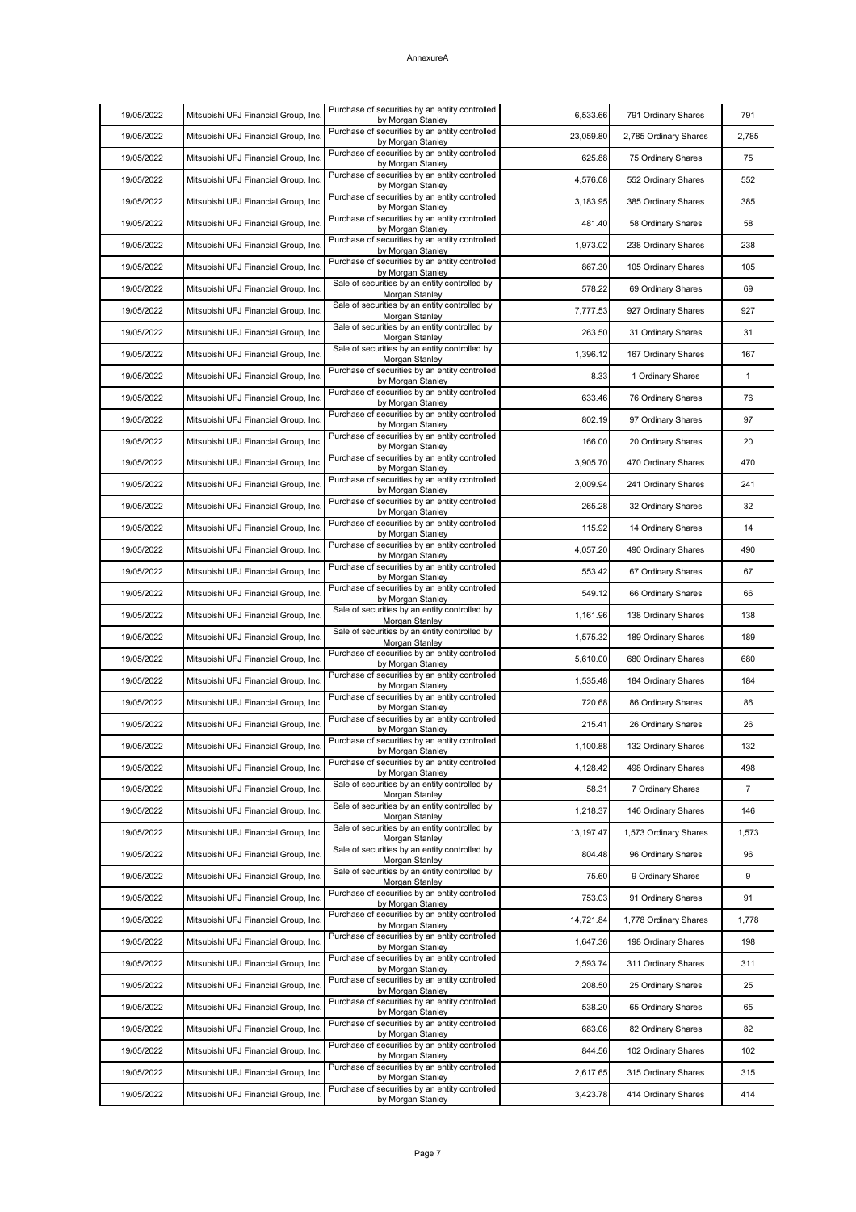| 19/05/2022 | Mitsubishi UFJ Financial Group, Inc. | Purchase of securities by an entity controlled<br>by Morgan Stanley | 6,533.66  | 791 Ordinary Shares   | 791            |
|------------|--------------------------------------|---------------------------------------------------------------------|-----------|-----------------------|----------------|
| 19/05/2022 | Mitsubishi UFJ Financial Group, Inc. | Purchase of securities by an entity controlled<br>by Morgan Stanley | 23,059.80 | 2,785 Ordinary Shares | 2,785          |
| 19/05/2022 | Mitsubishi UFJ Financial Group, Inc. | Purchase of securities by an entity controlled<br>by Morgan Stanley | 625.88    | 75 Ordinary Shares    | 75             |
| 19/05/2022 | Mitsubishi UFJ Financial Group, Inc. | Purchase of securities by an entity controlled<br>by Morgan Stanley | 4,576.08  | 552 Ordinary Shares   | 552            |
| 19/05/2022 | Mitsubishi UFJ Financial Group, Inc. | Purchase of securities by an entity controlled<br>by Morgan Stanley | 3,183.95  | 385 Ordinary Shares   | 385            |
| 19/05/2022 | Mitsubishi UFJ Financial Group, Inc. | Purchase of securities by an entity controlled<br>by Morgan Stanley | 481.40    | 58 Ordinary Shares    | 58             |
| 19/05/2022 | Mitsubishi UFJ Financial Group, Inc. | Purchase of securities by an entity controlled<br>by Morgan Stanley | 1,973.02  | 238 Ordinary Shares   | 238            |
| 19/05/2022 | Mitsubishi UFJ Financial Group, Inc. | Purchase of securities by an entity controlled<br>by Morgan Stanley | 867.30    | 105 Ordinary Shares   | 105            |
| 19/05/2022 | Mitsubishi UFJ Financial Group, Inc. | Sale of securities by an entity controlled by<br>Morgan Stanley     | 578.22    | 69 Ordinary Shares    | 69             |
| 19/05/2022 | Mitsubishi UFJ Financial Group, Inc. | Sale of securities by an entity controlled by<br>Morgan Stanley     | 7,777.53  | 927 Ordinary Shares   | 927            |
| 19/05/2022 | Mitsubishi UFJ Financial Group, Inc. | Sale of securities by an entity controlled by<br>Morgan Stanley     | 263.50    | 31 Ordinary Shares    | 31             |
| 19/05/2022 | Mitsubishi UFJ Financial Group, Inc. | Sale of securities by an entity controlled by<br>Morgan Stanley     | 1,396.12  | 167 Ordinary Shares   | 167            |
| 19/05/2022 | Mitsubishi UFJ Financial Group, Inc. | Purchase of securities by an entity controlled<br>by Morgan Stanley | 8.33      | 1 Ordinary Shares     | $\mathbf 1$    |
| 19/05/2022 | Mitsubishi UFJ Financial Group, Inc. | Purchase of securities by an entity controlled<br>by Morgan Stanley | 633.46    | 76 Ordinary Shares    | 76             |
| 19/05/2022 | Mitsubishi UFJ Financial Group, Inc. | Purchase of securities by an entity controlled<br>by Morgan Stanley | 802.19    | 97 Ordinary Shares    | 97             |
| 19/05/2022 | Mitsubishi UFJ Financial Group, Inc. | Purchase of securities by an entity controlled<br>by Morgan Stanley | 166.00    | 20 Ordinary Shares    | 20             |
| 19/05/2022 | Mitsubishi UFJ Financial Group, Inc. | Purchase of securities by an entity controlled<br>by Morgan Stanley | 3,905.70  | 470 Ordinary Shares   | 470            |
| 19/05/2022 | Mitsubishi UFJ Financial Group, Inc. | Purchase of securities by an entity controlled<br>by Morgan Stanley | 2,009.94  | 241 Ordinary Shares   | 241            |
| 19/05/2022 | Mitsubishi UFJ Financial Group, Inc. | Purchase of securities by an entity controlled<br>by Morgan Stanley | 265.28    | 32 Ordinary Shares    | 32             |
| 19/05/2022 | Mitsubishi UFJ Financial Group, Inc. | Purchase of securities by an entity controlled<br>by Morgan Stanley | 115.92    | 14 Ordinary Shares    | 14             |
| 19/05/2022 | Mitsubishi UFJ Financial Group, Inc. | Purchase of securities by an entity controlled<br>by Morgan Stanley | 4,057.20  | 490 Ordinary Shares   | 490            |
| 19/05/2022 | Mitsubishi UFJ Financial Group, Inc. | Purchase of securities by an entity controlled<br>by Morgan Stanley | 553.42    | 67 Ordinary Shares    | 67             |
| 19/05/2022 | Mitsubishi UFJ Financial Group, Inc. | Purchase of securities by an entity controlled<br>by Morgan Stanley | 549.12    | 66 Ordinary Shares    | 66             |
| 19/05/2022 | Mitsubishi UFJ Financial Group, Inc. | Sale of securities by an entity controlled by<br>Morgan Stanley     | 1,161.96  | 138 Ordinary Shares   | 138            |
| 19/05/2022 | Mitsubishi UFJ Financial Group, Inc. | Sale of securities by an entity controlled by<br>Morgan Stanley     | 1,575.32  | 189 Ordinary Shares   | 189            |
| 19/05/2022 | Mitsubishi UFJ Financial Group, Inc. | Purchase of securities by an entity controlled<br>by Morgan Stanley | 5,610.00  | 680 Ordinary Shares   | 680            |
| 19/05/2022 | Mitsubishi UFJ Financial Group, Inc. | Purchase of securities by an entity controlled<br>by Morgan Stanley | 1,535.48  | 184 Ordinary Shares   | 184            |
| 19/05/2022 | Mitsubishi UFJ Financial Group, Inc. | Purchase of securities by an entity controlled<br>by Morgan Stanley | 720.68    | 86 Ordinary Shares    | 86             |
| 19/05/2022 | Mitsubishi UFJ Financial Group, Inc. | Purchase of securities by an entity controlled<br>by Morgan Stanley | 215.41    | 26 Ordinary Shares    | 26             |
| 19/05/2022 | Mitsubishi UFJ Financial Group, Inc. | Purchase of securities by an entity controlled<br>by Morgan Stanley | 1,100.88  | 132 Ordinary Shares   | 132            |
| 19/05/2022 | Mitsubishi UFJ Financial Group, Inc. | Purchase of securities by an entity controlled<br>by Morgan Stanley | 4,128.42  | 498 Ordinary Shares   | 498            |
| 19/05/2022 | Mitsubishi UFJ Financial Group, Inc. | Sale of securities by an entity controlled by<br>Morgan Stanley     | 58.31     | 7 Ordinary Shares     | $\overline{7}$ |
| 19/05/2022 | Mitsubishi UFJ Financial Group, Inc. | Sale of securities by an entity controlled by                       | 1,218.37  | 146 Ordinary Shares   | 146            |
| 19/05/2022 | Mitsubishi UFJ Financial Group, Inc. | Morgan Stanley<br>Sale of securities by an entity controlled by     | 13,197.47 | 1,573 Ordinary Shares | 1,573          |
| 19/05/2022 | Mitsubishi UFJ Financial Group, Inc. | Morgan Stanley<br>Sale of securities by an entity controlled by     | 804.48    | 96 Ordinary Shares    | 96             |
| 19/05/2022 | Mitsubishi UFJ Financial Group, Inc. | Morgan Stanley<br>Sale of securities by an entity controlled by     | 75.60     | 9 Ordinary Shares     | 9              |
| 19/05/2022 | Mitsubishi UFJ Financial Group, Inc. | Morgan Stanley<br>Purchase of securities by an entity controlled    | 753.03    | 91 Ordinary Shares    | 91             |
| 19/05/2022 | Mitsubishi UFJ Financial Group, Inc. | by Morgan Stanley<br>Purchase of securities by an entity controlled | 14,721.84 | 1,778 Ordinary Shares | 1,778          |
| 19/05/2022 | Mitsubishi UFJ Financial Group, Inc. | by Morgan Stanley<br>Purchase of securities by an entity controlled | 1,647.36  | 198 Ordinary Shares   | 198            |
| 19/05/2022 | Mitsubishi UFJ Financial Group, Inc. | by Morgan Stanley<br>Purchase of securities by an entity controlled | 2,593.74  | 311 Ordinary Shares   | 311            |
| 19/05/2022 | Mitsubishi UFJ Financial Group, Inc. | by Morgan Stanley<br>Purchase of securities by an entity controlled | 208.50    | 25 Ordinary Shares    | 25             |
| 19/05/2022 | Mitsubishi UFJ Financial Group, Inc. | by Morgan Stanley<br>Purchase of securities by an entity controlled | 538.20    | 65 Ordinary Shares    | 65             |
| 19/05/2022 | Mitsubishi UFJ Financial Group, Inc. | by Morgan Stanley<br>Purchase of securities by an entity controlled | 683.06    | 82 Ordinary Shares    | 82             |
|            |                                      | by Morgan Stanley<br>Purchase of securities by an entity controlled |           |                       |                |
| 19/05/2022 | Mitsubishi UFJ Financial Group, Inc. | by Morgan Stanley<br>Purchase of securities by an entity controlled | 844.56    | 102 Ordinary Shares   | 102            |
| 19/05/2022 | Mitsubishi UFJ Financial Group, Inc. | by Morgan Stanley<br>Purchase of securities by an entity controlled | 2,617.65  | 315 Ordinary Shares   | 315            |
| 19/05/2022 | Mitsubishi UFJ Financial Group, Inc. | by Morgan Stanley                                                   | 3,423.78  | 414 Ordinary Shares   | 414            |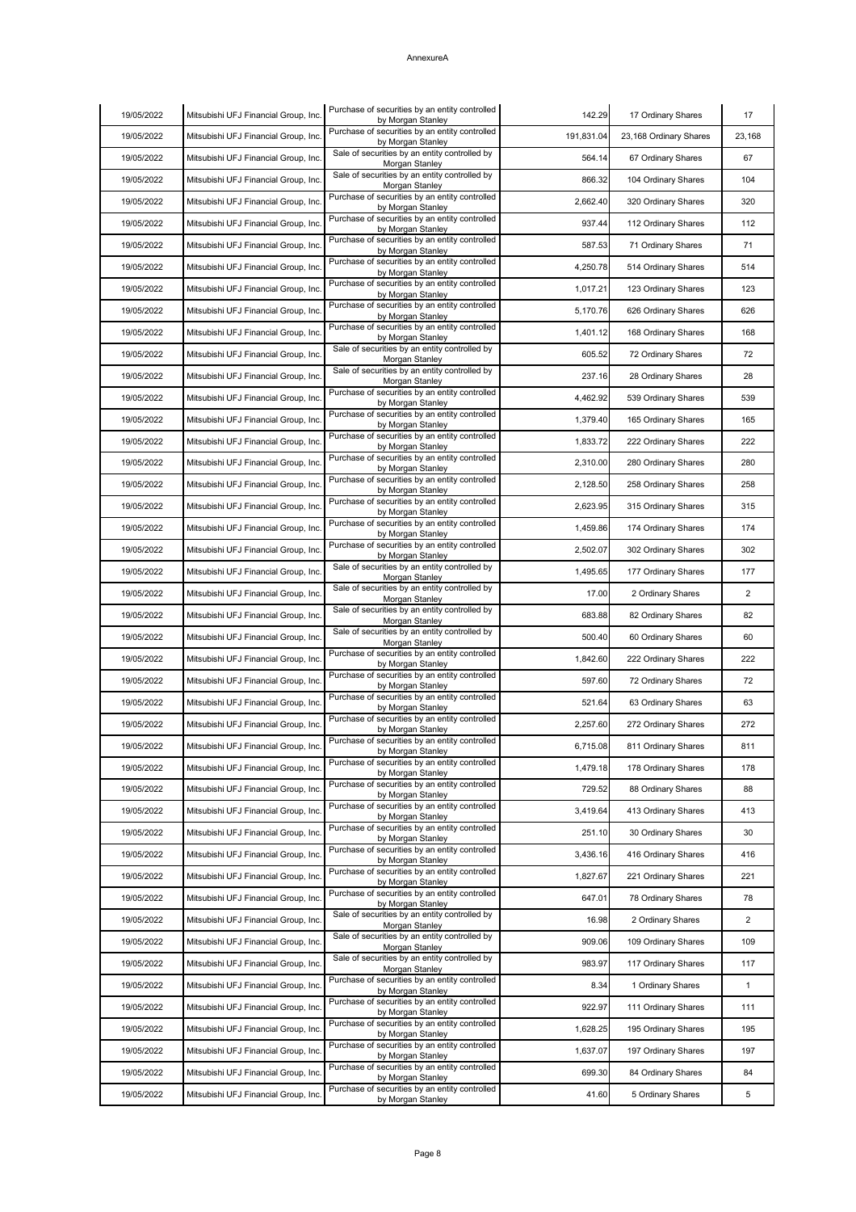| 19/05/2022 | Mitsubishi UFJ Financial Group, Inc. | Purchase of securities by an entity controlled<br>by Morgan Stanley | 142.29     | 17 Ordinary Shares     | 17             |
|------------|--------------------------------------|---------------------------------------------------------------------|------------|------------------------|----------------|
| 19/05/2022 | Mitsubishi UFJ Financial Group, Inc. | Purchase of securities by an entity controlled<br>by Morgan Stanley | 191,831.04 | 23,168 Ordinary Shares | 23,168         |
| 19/05/2022 | Mitsubishi UFJ Financial Group, Inc. | Sale of securities by an entity controlled by<br>Morgan Stanley     | 564.14     | 67 Ordinary Shares     | 67             |
| 19/05/2022 | Mitsubishi UFJ Financial Group, Inc. | Sale of securities by an entity controlled by<br>Morgan Stanley     | 866.32     | 104 Ordinary Shares    | 104            |
| 19/05/2022 | Mitsubishi UFJ Financial Group, Inc. | Purchase of securities by an entity controlled<br>by Morgan Stanley | 2,662.40   | 320 Ordinary Shares    | 320            |
| 19/05/2022 | Mitsubishi UFJ Financial Group, Inc. | Purchase of securities by an entity controlled<br>by Morgan Stanley | 937.44     | 112 Ordinary Shares    | 112            |
| 19/05/2022 | Mitsubishi UFJ Financial Group, Inc. | Purchase of securities by an entity controlled<br>by Morgan Stanley | 587.53     | 71 Ordinary Shares     | 71             |
| 19/05/2022 | Mitsubishi UFJ Financial Group, Inc. | Purchase of securities by an entity controlled<br>by Morgan Stanley | 4,250.78   | 514 Ordinary Shares    | 514            |
| 19/05/2022 | Mitsubishi UFJ Financial Group, Inc. | Purchase of securities by an entity controlled<br>by Morgan Stanley | 1,017.21   | 123 Ordinary Shares    | 123            |
| 19/05/2022 | Mitsubishi UFJ Financial Group, Inc. | Purchase of securities by an entity controlled<br>by Morgan Stanley | 5,170.76   | 626 Ordinary Shares    | 626            |
| 19/05/2022 | Mitsubishi UFJ Financial Group, Inc. | Purchase of securities by an entity controlled<br>by Morgan Stanley | 1,401.12   | 168 Ordinary Shares    | 168            |
| 19/05/2022 | Mitsubishi UFJ Financial Group, Inc. | Sale of securities by an entity controlled by<br>Morgan Stanley     | 605.52     | 72 Ordinary Shares     | 72             |
| 19/05/2022 | Mitsubishi UFJ Financial Group, Inc. | Sale of securities by an entity controlled by<br>Morgan Stanley     | 237.16     | 28 Ordinary Shares     | 28             |
| 19/05/2022 | Mitsubishi UFJ Financial Group, Inc. | Purchase of securities by an entity controlled<br>by Morgan Stanley | 4,462.92   | 539 Ordinary Shares    | 539            |
| 19/05/2022 | Mitsubishi UFJ Financial Group, Inc. | Purchase of securities by an entity controlled<br>by Morgan Stanley | 1,379.40   | 165 Ordinary Shares    | 165            |
| 19/05/2022 | Mitsubishi UFJ Financial Group, Inc. | Purchase of securities by an entity controlled<br>by Morgan Stanley | 1,833.72   | 222 Ordinary Shares    | 222            |
| 19/05/2022 | Mitsubishi UFJ Financial Group, Inc. | Purchase of securities by an entity controlled<br>by Morgan Stanley | 2,310.00   | 280 Ordinary Shares    | 280            |
| 19/05/2022 | Mitsubishi UFJ Financial Group, Inc. | Purchase of securities by an entity controlled<br>by Morgan Stanley | 2,128.50   | 258 Ordinary Shares    | 258            |
| 19/05/2022 | Mitsubishi UFJ Financial Group, Inc. | Purchase of securities by an entity controlled<br>by Morgan Stanley | 2,623.95   | 315 Ordinary Shares    | 315            |
| 19/05/2022 | Mitsubishi UFJ Financial Group, Inc. | Purchase of securities by an entity controlled<br>by Morgan Stanley | 1,459.86   | 174 Ordinary Shares    | 174            |
| 19/05/2022 | Mitsubishi UFJ Financial Group, Inc. | Purchase of securities by an entity controlled<br>by Morgan Stanley | 2,502.07   | 302 Ordinary Shares    | 302            |
| 19/05/2022 | Mitsubishi UFJ Financial Group, Inc. | Sale of securities by an entity controlled by<br>Morgan Stanley     | 1,495.65   | 177 Ordinary Shares    | 177            |
| 19/05/2022 | Mitsubishi UFJ Financial Group, Inc. | Sale of securities by an entity controlled by<br>Morgan Stanley     | 17.00      | 2 Ordinary Shares      | $\overline{2}$ |
| 19/05/2022 | Mitsubishi UFJ Financial Group, Inc. | Sale of securities by an entity controlled by<br>Morgan Stanley     | 683.88     | 82 Ordinary Shares     | 82             |
| 19/05/2022 | Mitsubishi UFJ Financial Group, Inc. | Sale of securities by an entity controlled by<br>Morgan Stanley     | 500.40     | 60 Ordinary Shares     | 60             |
| 19/05/2022 | Mitsubishi UFJ Financial Group, Inc. | Purchase of securities by an entity controlled<br>by Morgan Stanley | 1,842.60   | 222 Ordinary Shares    | 222            |
| 19/05/2022 | Mitsubishi UFJ Financial Group, Inc. | Purchase of securities by an entity controlled<br>by Morgan Stanley | 597.60     | 72 Ordinary Shares     | 72             |
| 19/05/2022 | Mitsubishi UFJ Financial Group, Inc. | Purchase of securities by an entity controlled<br>by Morgan Stanley | 521.64     | 63 Ordinary Shares     | 63             |
| 19/05/2022 | Mitsubishi UFJ Financial Group, Inc. | Purchase of securities by an entity controlled<br>by Morgan Stanley | 2,257.60   | 272 Ordinary Shares    | 272            |
| 19/05/2022 | Mitsubishi UFJ Financial Group, Inc. | Purchase of securities by an entity controlled<br>by Morgan Stanley | 6,715.08   | 811 Ordinary Shares    | 811            |
| 19/05/2022 | Mitsubishi UFJ Financial Group, Inc. | Purchase of securities by an entity controlled<br>by Morgan Stanley | 1,479.18   | 178 Ordinary Shares    | 178            |
| 19/05/2022 | Mitsubishi UFJ Financial Group, Inc. | Purchase of securities by an entity controlled<br>by Morgan Stanley | 729.52     | 88 Ordinary Shares     | 88             |
| 19/05/2022 | Mitsubishi UFJ Financial Group, Inc. | Purchase of securities by an entity controlled<br>by Morgan Stanley | 3,419.64   | 413 Ordinary Shares    | 413            |
| 19/05/2022 | Mitsubishi UFJ Financial Group, Inc. | Purchase of securities by an entity controlled<br>by Morgan Stanley | 251.10     | 30 Ordinary Shares     | 30             |
| 19/05/2022 | Mitsubishi UFJ Financial Group, Inc. | Purchase of securities by an entity controlled<br>by Morgan Stanley | 3,436.16   | 416 Ordinary Shares    | 416            |
| 19/05/2022 | Mitsubishi UFJ Financial Group, Inc. | Purchase of securities by an entity controlled<br>by Morgan Stanley | 1,827.67   | 221 Ordinary Shares    | 221            |
| 19/05/2022 | Mitsubishi UFJ Financial Group, Inc. | Purchase of securities by an entity controlled<br>by Morgan Stanley | 647.01     | 78 Ordinary Shares     | 78             |
| 19/05/2022 | Mitsubishi UFJ Financial Group, Inc. | Sale of securities by an entity controlled by<br>Morgan Stanley     | 16.98      | 2 Ordinary Shares      | $\overline{2}$ |
| 19/05/2022 | Mitsubishi UFJ Financial Group, Inc. | Sale of securities by an entity controlled by<br>Morgan Stanley     | 909.06     | 109 Ordinary Shares    | 109            |
| 19/05/2022 | Mitsubishi UFJ Financial Group, Inc. | Sale of securities by an entity controlled by<br>Morgan Stanley     | 983.97     | 117 Ordinary Shares    | 117            |
| 19/05/2022 | Mitsubishi UFJ Financial Group, Inc. | Purchase of securities by an entity controlled<br>by Morgan Stanley | 8.34       | 1 Ordinary Shares      | $\mathbf{1}$   |
| 19/05/2022 | Mitsubishi UFJ Financial Group, Inc. | Purchase of securities by an entity controlled<br>by Morgan Stanley | 922.97     | 111 Ordinary Shares    | 111            |
| 19/05/2022 | Mitsubishi UFJ Financial Group, Inc. | Purchase of securities by an entity controlled<br>by Morgan Stanley | 1,628.25   | 195 Ordinary Shares    | 195            |
| 19/05/2022 | Mitsubishi UFJ Financial Group, Inc. | Purchase of securities by an entity controlled<br>by Morgan Stanley | 1,637.07   | 197 Ordinary Shares    | 197            |
| 19/05/2022 | Mitsubishi UFJ Financial Group, Inc. | Purchase of securities by an entity controlled<br>by Morgan Stanley | 699.30     | 84 Ordinary Shares     | 84             |
| 19/05/2022 | Mitsubishi UFJ Financial Group, Inc. | Purchase of securities by an entity controlled<br>by Morgan Stanley | 41.60      | 5 Ordinary Shares      | 5              |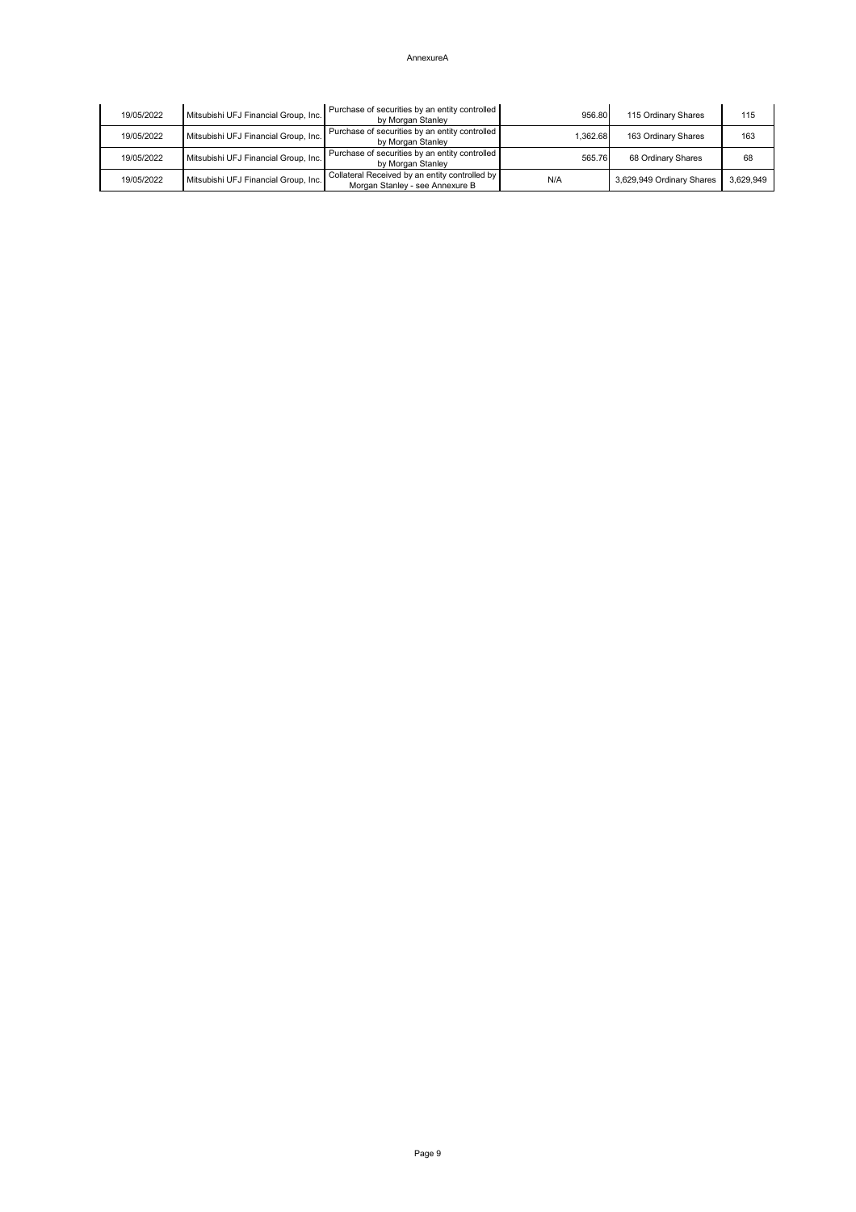| 19/05/2022 | Mitsubishi UFJ Financial Group, Inc. | Purchase of securities by an entity controlled<br>by Morgan Stanley               | 956.80   | 115 Ordinary Shares       | 115       |
|------------|--------------------------------------|-----------------------------------------------------------------------------------|----------|---------------------------|-----------|
| 19/05/2022 | Mitsubishi UFJ Financial Group, Inc. | Purchase of securities by an entity controlled<br>by Morgan Stanley               | 1,362.68 | 163 Ordinary Shares       | 163       |
| 19/05/2022 | Mitsubishi UFJ Financial Group, Inc. | Purchase of securities by an entity controlled<br>by Morgan Stanley               | 565.76   | 68 Ordinary Shares        | 68        |
| 19/05/2022 | Mitsubishi UFJ Financial Group, Inc. | Collateral Received by an entity controlled by<br>Morgan Stanley - see Annexure B | N/A      | 3,629,949 Ordinary Shares | 3,629,949 |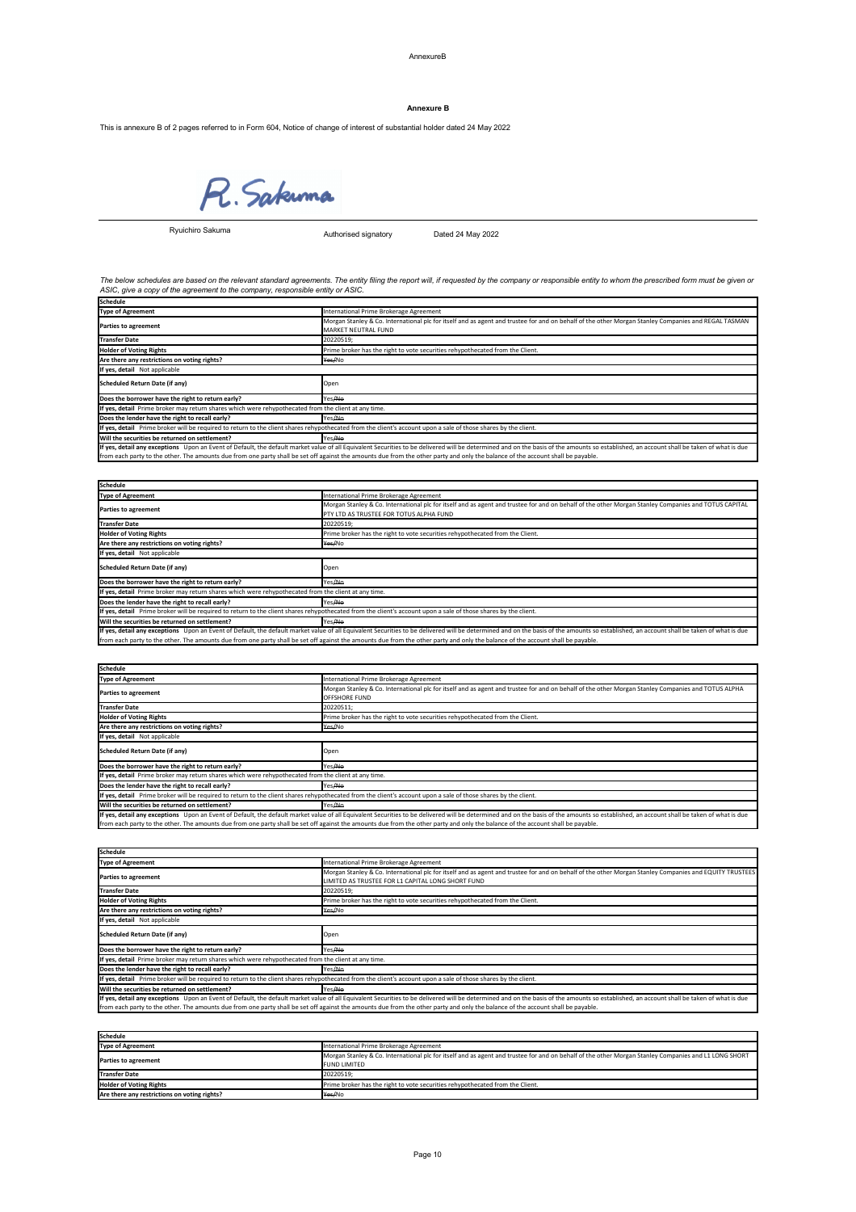## AnnexureB

This is annexure B of 2 pages referred to in Form 604, Notice of change of interest of substantial holder dated 24 May 2022

R. Sakunna

Authorised signatory Dated 24 May 2022

| Schedule                                                                                                                                                                                                                      |                                                                                                                                                     |  |
|-------------------------------------------------------------------------------------------------------------------------------------------------------------------------------------------------------------------------------|-----------------------------------------------------------------------------------------------------------------------------------------------------|--|
| Type of Agreement                                                                                                                                                                                                             | International Prime Brokerage Agreement                                                                                                             |  |
| <b>Parties to agreement</b>                                                                                                                                                                                                   | Morgan Stanley & Co. International plc for itself and as agent and trustee for and on behalf of the other Morgan Stanley Companies and REGAL TASMAN |  |
|                                                                                                                                                                                                                               | <b>MARKET NEUTRAL FUND</b>                                                                                                                          |  |
| <b>Transfer Date</b>                                                                                                                                                                                                          | 20220519;                                                                                                                                           |  |
| <b>Holder of Voting Rights</b>                                                                                                                                                                                                | Prime broker has the right to vote securities rehypothecated from the Client.                                                                       |  |
| Are there any restrictions on voting rights?                                                                                                                                                                                  | <del>Yes/</del> No                                                                                                                                  |  |
| If yes, detail Not applicable                                                                                                                                                                                                 |                                                                                                                                                     |  |
| Scheduled Return Date (if any)                                                                                                                                                                                                | Open                                                                                                                                                |  |
| Does the borrower have the right to return early?                                                                                                                                                                             | Yes/No                                                                                                                                              |  |
| If yes, detail Prime broker may return shares which were rehypothecated from the client at any time.                                                                                                                          |                                                                                                                                                     |  |
| Does the lender have the right to recall early?                                                                                                                                                                               | Yes/No                                                                                                                                              |  |
| If yes, detail Prime broker will be required to return to the client shares rehypothecated from the client's account upon a sale of those shares by the client.                                                               |                                                                                                                                                     |  |
| Will the securities be returned on settlement?                                                                                                                                                                                | Yes <del>/No</del>                                                                                                                                  |  |
| If yes, detail any exceptions Upon an Event of Default, the default market value of all Equivalent Securities to be delivered will be determined and on the basis of the amounts so established, an account shall be taken of |                                                                                                                                                     |  |
| from each party to the other. The amounts due from one party shall be set off against the amounts due from the other party and only the balance of the account shall be payable.                                              |                                                                                                                                                     |  |

| <b>Schedule</b>                                                                                                                                                                  |                                                                                                                                                                                                                               |  |
|----------------------------------------------------------------------------------------------------------------------------------------------------------------------------------|-------------------------------------------------------------------------------------------------------------------------------------------------------------------------------------------------------------------------------|--|
| Type of Agreement                                                                                                                                                                | International Prime Brokerage Agreement                                                                                                                                                                                       |  |
|                                                                                                                                                                                  | Morgan Stanley & Co. International plc for itself and as agent and trustee for and on behalf of the other Morgan Stanley Companies and TOTUS CAPITAL                                                                          |  |
| <b>Parties to agreement</b>                                                                                                                                                      | PTY LTD AS TRUSTEE FOR TOTUS ALPHA FUND                                                                                                                                                                                       |  |
| <b>Transfer Date</b>                                                                                                                                                             | 20220519;                                                                                                                                                                                                                     |  |
| <b>Holder of Voting Rights</b>                                                                                                                                                   | Prime broker has the right to vote securities rehypothecated from the Client.                                                                                                                                                 |  |
| Are there any restrictions on voting rights?                                                                                                                                     | <del>Yes/</del> No                                                                                                                                                                                                            |  |
| If yes, detail Not applicable                                                                                                                                                    |                                                                                                                                                                                                                               |  |
| <b>Scheduled Return Date (if any)</b>                                                                                                                                            | Open                                                                                                                                                                                                                          |  |
| Does the borrower have the right to return early?                                                                                                                                | Yes <del>/No</del>                                                                                                                                                                                                            |  |
| If yes, detail Prime broker may return shares which were rehypothecated from the client at any time.                                                                             |                                                                                                                                                                                                                               |  |
| Does the lender have the right to recall early?                                                                                                                                  | Yes/No                                                                                                                                                                                                                        |  |
| If yes, detail Prime broker will be required to return to the client shares rehypothecated from the client's account upon a sale of those shares by the client.                  |                                                                                                                                                                                                                               |  |
| Will the securities be returned on settlement?                                                                                                                                   | Yes/No                                                                                                                                                                                                                        |  |
|                                                                                                                                                                                  | If yes, detail any exceptions Upon an Event of Default, the default market value of all Equivalent Securities to be delivered will be determined and on the basis of the amounts so established, an account shall be taken of |  |
| from each party to the other. The amounts due from one party shall be set off against the amounts due from the other party and only the balance of the account shall be payable. |                                                                                                                                                                                                                               |  |

#### **Annexure B**

| Schedule                 |                                                              |
|--------------------------|--------------------------------------------------------------|
| Type of .<br>* Agreemen. | Rrokerage Agreement<br>n Drim<br>ernation:<br>ਸਾਖਾ<br>------ |
|                          |                                                              |

*The below schedules are based on the relevant standard agreements. The entity filing the report will, if requested by the company or responsible entity to whom the prescribed form must be given or ASIC, give a copy of the agreement to the company, responsible entity or ASIC.*

| <b>Parties to agreement</b>                                                                                                                                                      | Morgan Stanley & Co. International plc for itself and as agent and trustee for and on behalf of the other Morgan Stanley Companies and TOTUS ALPHA                                                                            |  |  |
|----------------------------------------------------------------------------------------------------------------------------------------------------------------------------------|-------------------------------------------------------------------------------------------------------------------------------------------------------------------------------------------------------------------------------|--|--|
|                                                                                                                                                                                  | <b>OFFSHORE FUND</b>                                                                                                                                                                                                          |  |  |
| <b>Transfer Date</b>                                                                                                                                                             | 20220511;                                                                                                                                                                                                                     |  |  |
| <b>Holder of Voting Rights</b>                                                                                                                                                   | Prime broker has the right to vote securities rehypothecated from the Client.                                                                                                                                                 |  |  |
| Are there any restrictions on voting rights?                                                                                                                                     | <del>Yes/</del> No                                                                                                                                                                                                            |  |  |
| If yes, detail Not applicable                                                                                                                                                    |                                                                                                                                                                                                                               |  |  |
| Scheduled Return Date (if any)                                                                                                                                                   | Open                                                                                                                                                                                                                          |  |  |
| Does the borrower have the right to return early?                                                                                                                                | Yes/ <del>No</del>                                                                                                                                                                                                            |  |  |
| If yes, detail Prime broker may return shares which were rehypothecated from the client at any time.                                                                             |                                                                                                                                                                                                                               |  |  |
| Does the lender have the right to recall early?                                                                                                                                  | Yes <del>/No</del>                                                                                                                                                                                                            |  |  |
| If yes, detail Prime broker will be required to return to the client shares rehypothecated from the client's account upon a sale of those shares by the client.                  |                                                                                                                                                                                                                               |  |  |
| Will the securities be returned on settlement?                                                                                                                                   | Yes <del>/No</del>                                                                                                                                                                                                            |  |  |
|                                                                                                                                                                                  | If yes, detail any exceptions Upon an Event of Default, the default market value of all Equivalent Securities to be delivered will be determined and on the basis of the amounts so established, an account shall be taken of |  |  |
| from each party to the other. The amounts due from one party shall be set off against the amounts due from the other party and only the balance of the account shall be payable. |                                                                                                                                                                                                                               |  |  |

| <b>Schedule</b>                                                                                                                                                                  |                                                                                                                                                                                                                               |  |
|----------------------------------------------------------------------------------------------------------------------------------------------------------------------------------|-------------------------------------------------------------------------------------------------------------------------------------------------------------------------------------------------------------------------------|--|
| <b>Type of Agreement</b>                                                                                                                                                         | International Prime Brokerage Agreement                                                                                                                                                                                       |  |
| <b>Parties to agreement</b>                                                                                                                                                      | Morgan Stanley & Co. International plc for itself and as agent and trustee for and on behalf of the other Morgan Stanley Companies and EQUITY TRUSTEES                                                                        |  |
|                                                                                                                                                                                  | LIMITED AS TRUSTEE FOR L1 CAPITAL LONG SHORT FUND                                                                                                                                                                             |  |
| <b>Transfer Date</b>                                                                                                                                                             | 20220519;                                                                                                                                                                                                                     |  |
| <b>Holder of Voting Rights</b>                                                                                                                                                   | Prime broker has the right to vote securities rehypothecated from the Client.                                                                                                                                                 |  |
| Are there any restrictions on voting rights?                                                                                                                                     | <del>Yes/</del> No                                                                                                                                                                                                            |  |
| If yes, detail Not applicable                                                                                                                                                    |                                                                                                                                                                                                                               |  |
| <b>Scheduled Return Date (if any)</b>                                                                                                                                            | Open                                                                                                                                                                                                                          |  |
| Does the borrower have the right to return early?                                                                                                                                | Yes <del>/No</del>                                                                                                                                                                                                            |  |
| If yes, detail Prime broker may return shares which were rehypothecated from the client at any time.                                                                             |                                                                                                                                                                                                                               |  |
| Does the lender have the right to recall early?                                                                                                                                  | Yes <del>/No</del>                                                                                                                                                                                                            |  |
| If yes, detail Prime broker will be required to return to the client shares rehypothecated from the client's account upon a sale of those shares by the client.                  |                                                                                                                                                                                                                               |  |
| Will the securities be returned on settlement?                                                                                                                                   | Yes <del>/No</del>                                                                                                                                                                                                            |  |
|                                                                                                                                                                                  | If yes, detail any exceptions Upon an Event of Default, the default market value of all Equivalent Securities to be delivered will be determined and on the basis of the amounts so established, an account shall be taken of |  |
| from each party to the other. The amounts due from one party shall be set off against the amounts due from the other party and only the balance of the account shall be payable. |                                                                                                                                                                                                                               |  |

| <b>Schedule</b>                              |                                                                                                                                                                             |  |
|----------------------------------------------|-----------------------------------------------------------------------------------------------------------------------------------------------------------------------------|--|
| <b>Type of Agreement</b>                     | International Prime Brokerage Agreement                                                                                                                                     |  |
| <b>Parties to agreement</b>                  | Morgan Stanley & Co. International plc for itself and as agent and trustee for and on behalf of the other Morgan Stanley Companies and L1 LONG SHORT<br><b>FUND LIMITED</b> |  |
| <b>Transfer Date</b>                         | 20220519;                                                                                                                                                                   |  |
| <b>Holder of Voting Rights</b>               | Prime broker has the right to vote securities rehypothecated from the Client.                                                                                               |  |
| Are there any restrictions on voting rights? | Yes/No                                                                                                                                                                      |  |

Ryuichiro Sakuma